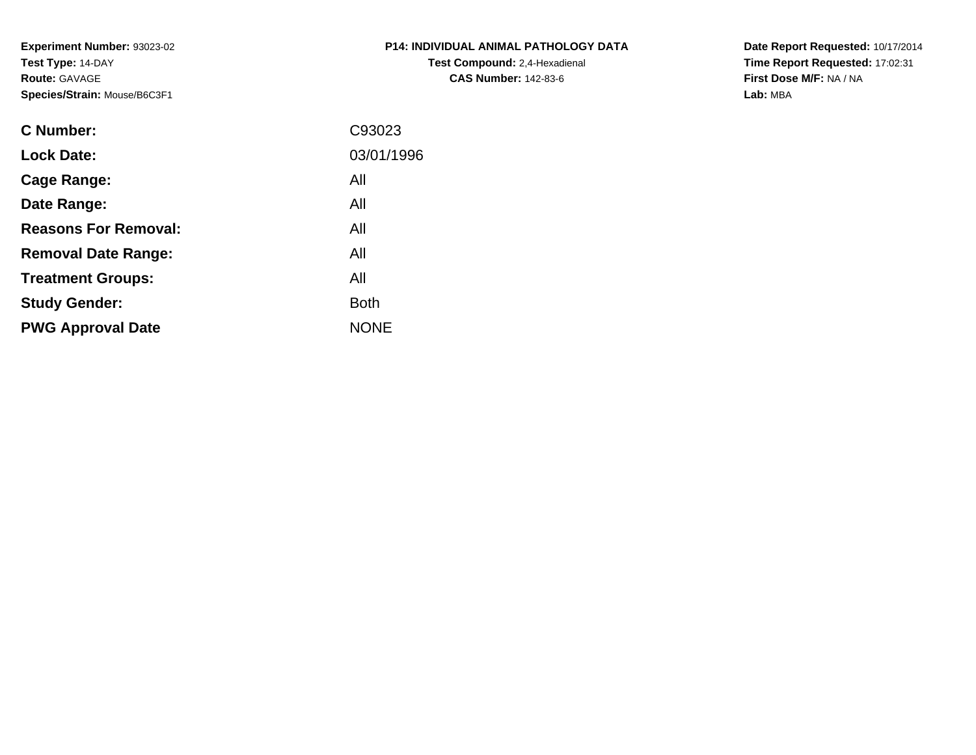**Experiment Number:** 93023-02**Test Type:** 14-DAY**Route:** GAVAGE**Species/Strain:** Mouse/B6C3F1

| <b>P14: INDIVIDUAL ANIMAL PATHOLOGY DATA</b> |
|----------------------------------------------|
| <b>Test Compound: 2,4-Hexadienal</b>         |
| <b>CAS Number: 142-83-6</b>                  |

**Date Report Requested:** 10/17/2014 **Time Report Requested:** 17:02:31**First Dose M/F:** NA / NA**Lab:** MBA

| <b>C</b> Number:            | C93023      |
|-----------------------------|-------------|
| <b>Lock Date:</b>           | 03/01/1996  |
| Cage Range:                 | All         |
| Date Range:                 | All         |
| <b>Reasons For Removal:</b> | All         |
| <b>Removal Date Range:</b>  | All         |
| <b>Treatment Groups:</b>    | All         |
| <b>Study Gender:</b>        | <b>Both</b> |
| <b>PWG Approval Date</b>    | <b>NONE</b> |
|                             |             |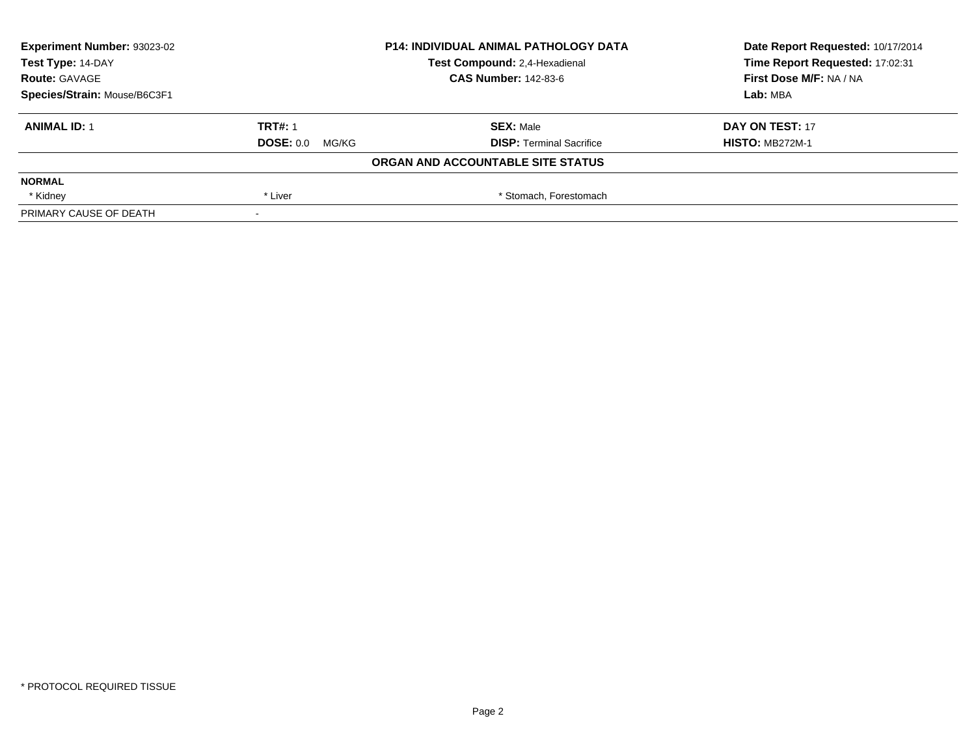| Experiment Number: 93023-02<br><b>P14: INDIVIDUAL ANIMAL PATHOLOGY DATA</b> |                 | Date Report Requested: 10/17/2014 |                                 |
|-----------------------------------------------------------------------------|-----------------|-----------------------------------|---------------------------------|
| Test Type: 14-DAY                                                           |                 | Test Compound: 2,4-Hexadienal     | Time Report Requested: 17:02:31 |
| <b>Route: GAVAGE</b>                                                        |                 | <b>CAS Number: 142-83-6</b>       | First Dose M/F: NA / NA         |
| Species/Strain: Mouse/B6C3F1                                                |                 |                                   | Lab: MBA                        |
| <b>ANIMAL ID: 1</b>                                                         | <b>TRT#: 1</b>  | <b>SEX: Male</b>                  | DAY ON TEST: 17                 |
|                                                                             | DOSE: 0.0 MG/KG | <b>DISP: Terminal Sacrifice</b>   | <b>HISTO: MB272M-1</b>          |
|                                                                             |                 | ORGAN AND ACCOUNTABLE SITE STATUS |                                 |
| <b>NORMAL</b>                                                               |                 |                                   |                                 |
| * Kidney                                                                    | * Liver         | * Stomach, Forestomach            |                                 |
| PRIMARY CAUSE OF DEATH                                                      | $\,$            |                                   |                                 |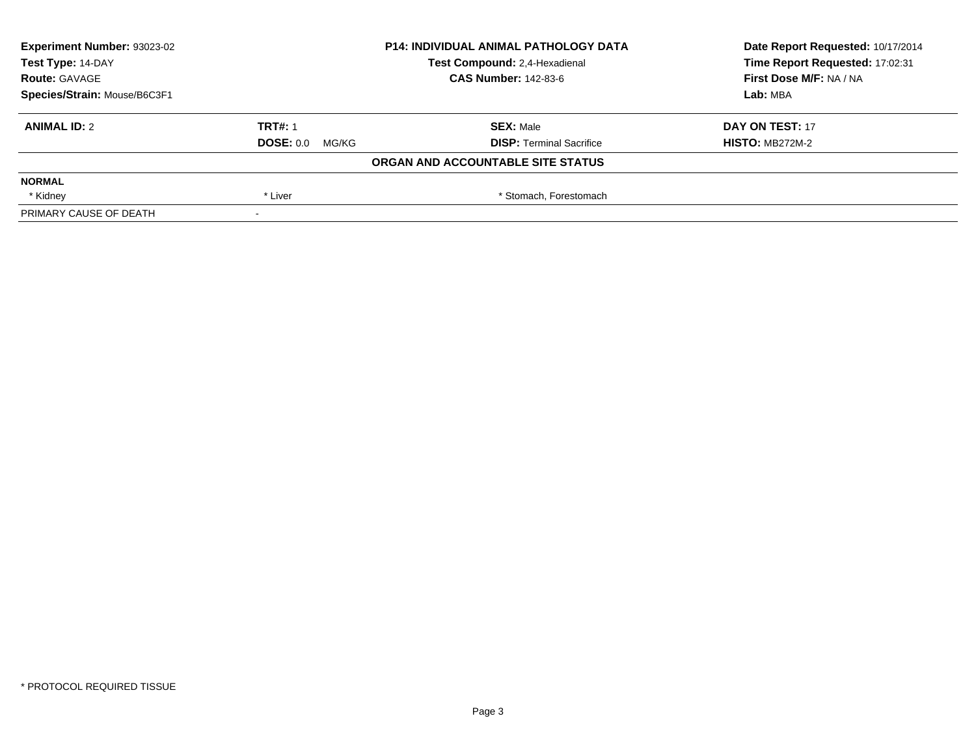| Experiment Number: 93023-02<br><b>P14: INDIVIDUAL ANIMAL PATHOLOGY DATA</b> |                 | Date Report Requested: 10/17/2014 |                                 |
|-----------------------------------------------------------------------------|-----------------|-----------------------------------|---------------------------------|
| Test Type: 14-DAY                                                           |                 | Test Compound: 2,4-Hexadienal     | Time Report Requested: 17:02:31 |
| <b>Route: GAVAGE</b>                                                        |                 | <b>CAS Number: 142-83-6</b>       | First Dose M/F: NA / NA         |
| Species/Strain: Mouse/B6C3F1                                                |                 |                                   | Lab: MBA                        |
| <b>ANIMAL ID: 2</b>                                                         | <b>TRT#: 1</b>  | <b>SEX: Male</b>                  | DAY ON TEST: 17                 |
|                                                                             | DOSE: 0.0 MG/KG | <b>DISP: Terminal Sacrifice</b>   | <b>HISTO: MB272M-2</b>          |
|                                                                             |                 | ORGAN AND ACCOUNTABLE SITE STATUS |                                 |
| <b>NORMAL</b>                                                               |                 |                                   |                                 |
| * Kidney                                                                    | * Liver         | * Stomach, Forestomach            |                                 |
| PRIMARY CAUSE OF DEATH                                                      | $\,$            |                                   |                                 |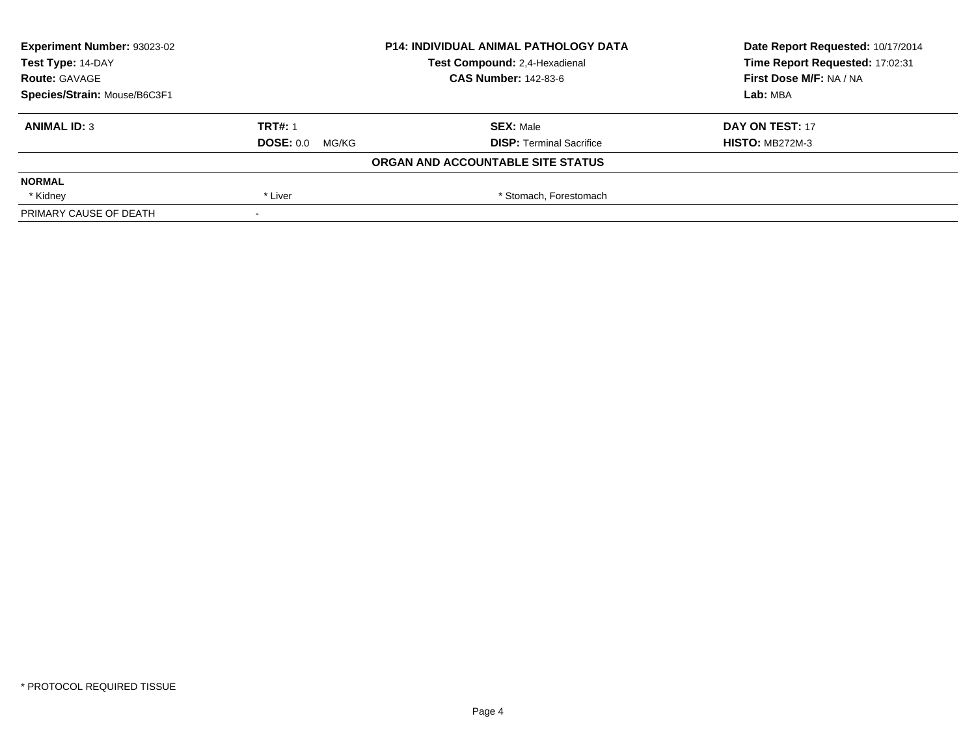| Experiment Number: 93023-02<br><b>P14: INDIVIDUAL ANIMAL PATHOLOGY DATA</b> |                 |                                   | Date Report Requested: 10/17/2014 |
|-----------------------------------------------------------------------------|-----------------|-----------------------------------|-----------------------------------|
| Test Type: 14-DAY                                                           |                 | Test Compound: 2,4-Hexadienal     | Time Report Requested: 17:02:31   |
| <b>Route: GAVAGE</b>                                                        |                 | <b>CAS Number: 142-83-6</b>       | First Dose M/F: NA / NA           |
| Species/Strain: Mouse/B6C3F1                                                |                 |                                   | Lab: MBA                          |
| <b>ANIMAL ID: 3</b>                                                         | <b>TRT#: 1</b>  | <b>SEX: Male</b>                  | DAY ON TEST: 17                   |
|                                                                             | DOSE: 0.0 MG/KG | <b>DISP: Terminal Sacrifice</b>   | <b>HISTO: MB272M-3</b>            |
|                                                                             |                 | ORGAN AND ACCOUNTABLE SITE STATUS |                                   |
| <b>NORMAL</b>                                                               |                 |                                   |                                   |
| * Kidney                                                                    | * Liver         | * Stomach, Forestomach            |                                   |
| PRIMARY CAUSE OF DEATH                                                      | $\,$            |                                   |                                   |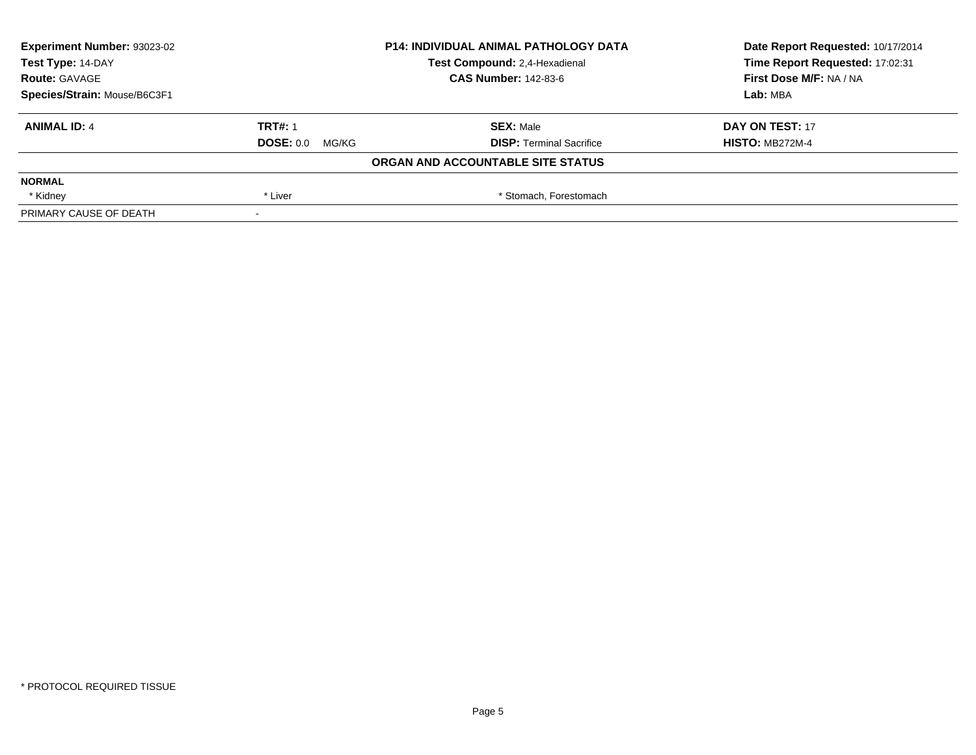| Experiment Number: 93023-02  |                 | <b>P14: INDIVIDUAL ANIMAL PATHOLOGY DATA</b> | Date Report Requested: 10/17/2014 |
|------------------------------|-----------------|----------------------------------------------|-----------------------------------|
| Test Type: 14-DAY            |                 | Test Compound: 2,4-Hexadienal                | Time Report Requested: 17:02:31   |
| <b>Route: GAVAGE</b>         |                 | <b>CAS Number: 142-83-6</b>                  | First Dose M/F: NA / NA           |
| Species/Strain: Mouse/B6C3F1 |                 |                                              | Lab: MBA                          |
| <b>ANIMAL ID: 4</b>          | <b>TRT#: 1</b>  | <b>SEX: Male</b>                             | DAY ON TEST: 17                   |
|                              | DOSE: 0.0 MG/KG | <b>DISP: Terminal Sacrifice</b>              | <b>HISTO: MB272M-4</b>            |
|                              |                 | ORGAN AND ACCOUNTABLE SITE STATUS            |                                   |
| <b>NORMAL</b>                |                 |                                              |                                   |
| * Kidney                     | * Liver         | * Stomach, Forestomach                       |                                   |
| PRIMARY CAUSE OF DEATH       | $\,$            |                                              |                                   |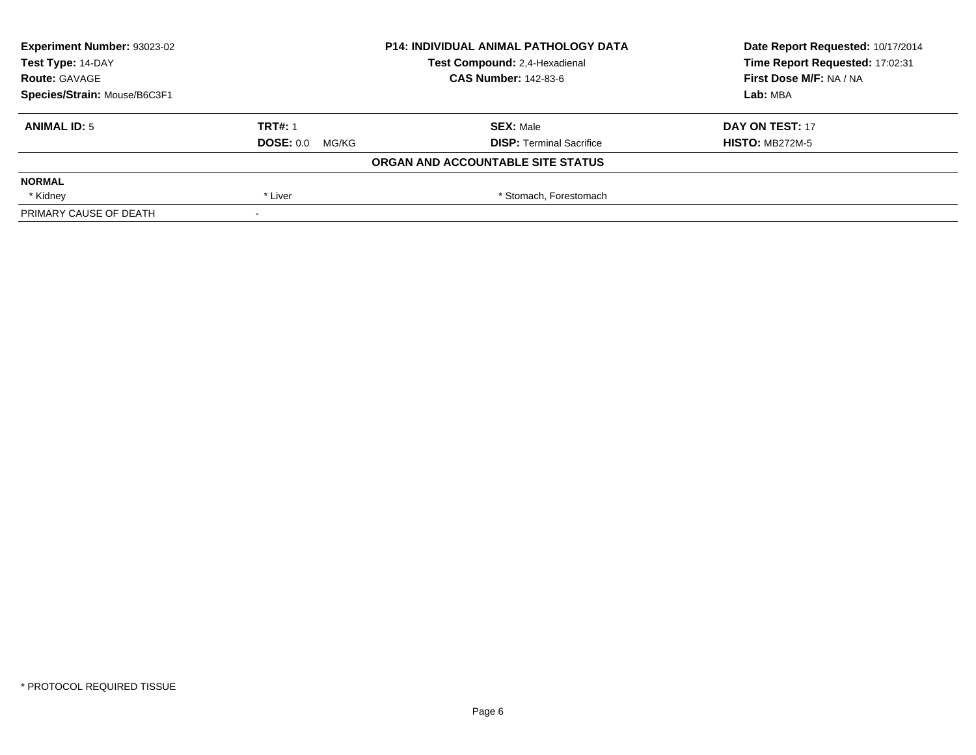| Experiment Number: 93023-02<br><b>P14: INDIVIDUAL ANIMAL PATHOLOGY DATA</b> |                 |                                   | Date Report Requested: 10/17/2014 |
|-----------------------------------------------------------------------------|-----------------|-----------------------------------|-----------------------------------|
| Test Type: 14-DAY                                                           |                 | Test Compound: 2,4-Hexadienal     | Time Report Requested: 17:02:31   |
| <b>Route: GAVAGE</b>                                                        |                 | <b>CAS Number: 142-83-6</b>       | First Dose M/F: NA / NA           |
| Species/Strain: Mouse/B6C3F1                                                |                 |                                   | Lab: MBA                          |
| <b>ANIMAL ID: 5</b>                                                         | <b>TRT#: 1</b>  | <b>SEX: Male</b>                  | DAY ON TEST: 17                   |
|                                                                             | DOSE: 0.0 MG/KG | <b>DISP: Terminal Sacrifice</b>   | <b>HISTO: MB272M-5</b>            |
|                                                                             |                 | ORGAN AND ACCOUNTABLE SITE STATUS |                                   |
| <b>NORMAL</b>                                                               |                 |                                   |                                   |
| * Kidney                                                                    | * Liver         | * Stomach, Forestomach            |                                   |
| PRIMARY CAUSE OF DEATH                                                      | $\,$            |                                   |                                   |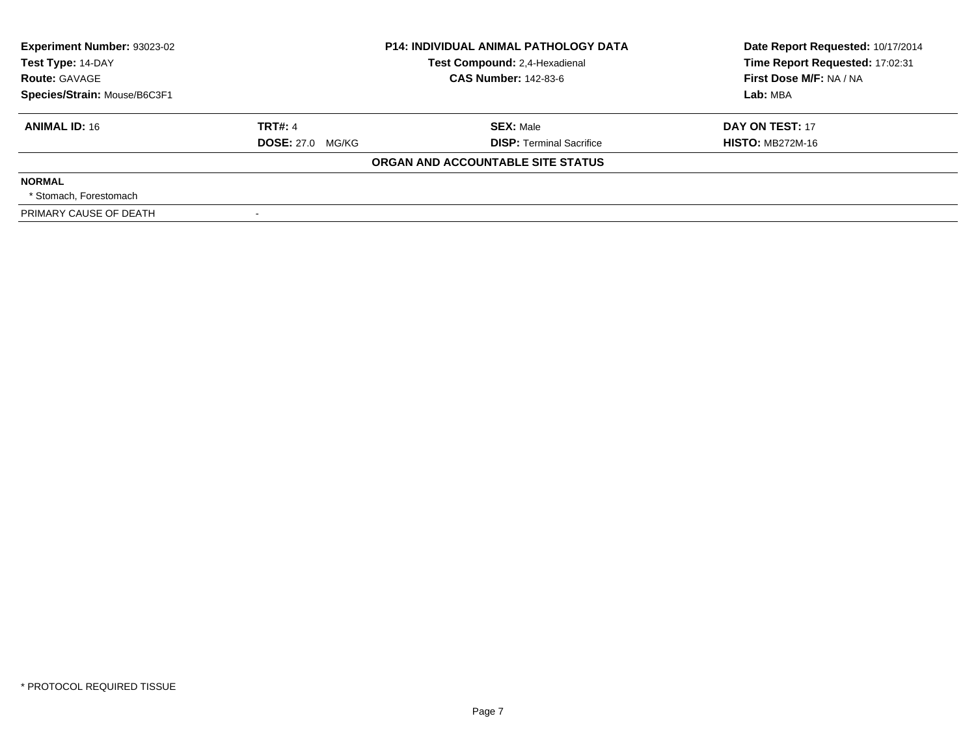| Experiment Number: 93023-02<br>Test Type: 14-DAY | <b>P14: INDIVIDUAL ANIMAL PATHOLOGY DATA</b><br>Test Compound: 2,4-Hexadienal |                                   | Date Report Requested: 10/17/2014<br>Time Report Requested: 17:02:31 |
|--------------------------------------------------|-------------------------------------------------------------------------------|-----------------------------------|----------------------------------------------------------------------|
| <b>Route: GAVAGE</b>                             |                                                                               | <b>CAS Number: 142-83-6</b>       | First Dose M/F: NA / NA                                              |
| Species/Strain: Mouse/B6C3F1                     |                                                                               |                                   | Lab: MBA                                                             |
| <b>ANIMAL ID: 16</b>                             | <b>TRT#: 4</b>                                                                | <b>SEX: Male</b>                  | DAY ON TEST: 17                                                      |
|                                                  | <b>DOSE: 27.0 MG/KG</b>                                                       | <b>DISP: Terminal Sacrifice</b>   | <b>HISTO: MB272M-16</b>                                              |
|                                                  |                                                                               | ORGAN AND ACCOUNTABLE SITE STATUS |                                                                      |
| <b>NORMAL</b>                                    |                                                                               |                                   |                                                                      |
| * Stomach. Forestomach                           |                                                                               |                                   |                                                                      |
| PRIMARY CAUSE OF DEATH                           |                                                                               |                                   |                                                                      |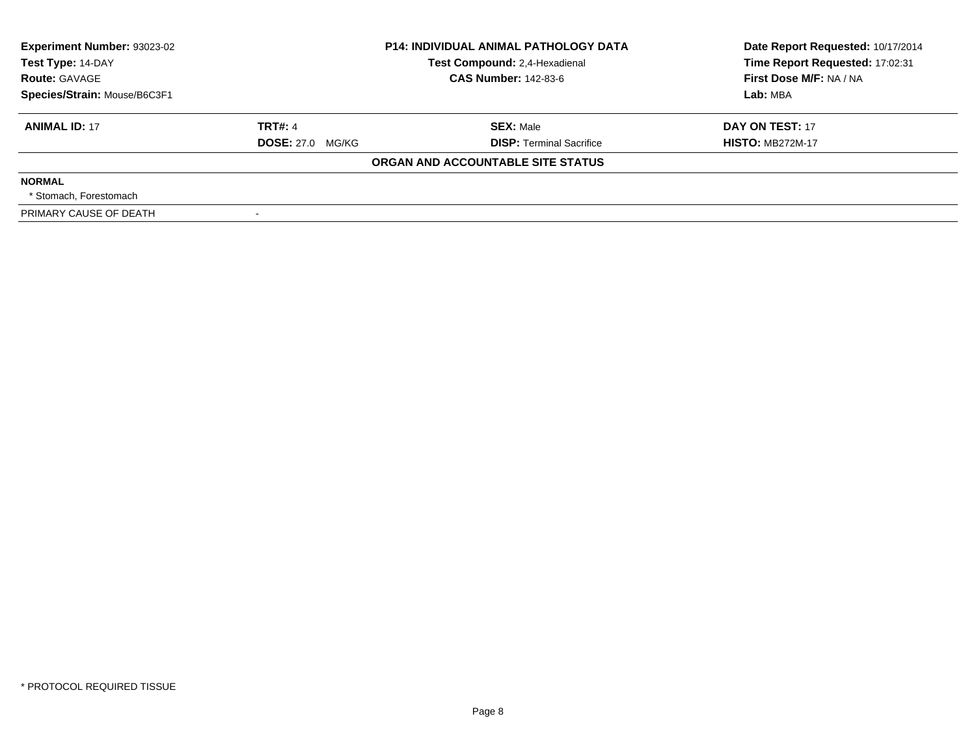| <b>Experiment Number: 93023-02</b><br>Test Type: 14-DAY<br><b>Route: GAVAGE</b> |                         | <b>P14: INDIVIDUAL ANIMAL PATHOLOGY DATA</b><br>Test Compound: 2,4-Hexadienal<br><b>CAS Number: 142-83-6</b> | Date Report Requested: 10/17/2014<br>Time Report Requested: 17:02:31<br>First Dose M/F: NA / NA |
|---------------------------------------------------------------------------------|-------------------------|--------------------------------------------------------------------------------------------------------------|-------------------------------------------------------------------------------------------------|
| Species/Strain: Mouse/B6C3F1                                                    |                         |                                                                                                              | Lab: MBA                                                                                        |
| <b>ANIMAL ID: 17</b>                                                            | <b>TRT#: 4</b>          | <b>SEX: Male</b>                                                                                             | DAY ON TEST: 17                                                                                 |
|                                                                                 | <b>DOSE: 27.0 MG/KG</b> | <b>DISP:</b> Terminal Sacrifice                                                                              | <b>HISTO: MB272M-17</b>                                                                         |
|                                                                                 |                         | ORGAN AND ACCOUNTABLE SITE STATUS                                                                            |                                                                                                 |
| <b>NORMAL</b>                                                                   |                         |                                                                                                              |                                                                                                 |
| * Stomach. Forestomach                                                          |                         |                                                                                                              |                                                                                                 |
| PRIMARY CAUSE OF DEATH                                                          |                         |                                                                                                              |                                                                                                 |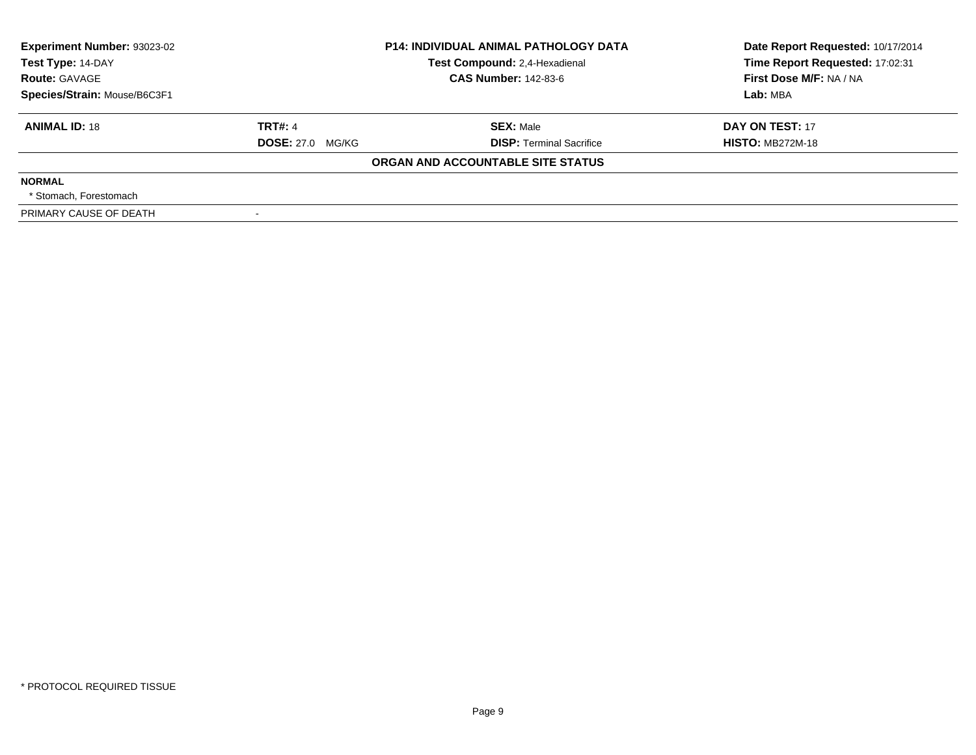| Experiment Number: 93023-02<br>Test Type: 14-DAY | <b>P14: INDIVIDUAL ANIMAL PATHOLOGY DATA</b><br>Test Compound: 2,4-Hexadienal |                                   | Date Report Requested: 10/17/2014<br>Time Report Requested: 17:02:31 |
|--------------------------------------------------|-------------------------------------------------------------------------------|-----------------------------------|----------------------------------------------------------------------|
| <b>Route: GAVAGE</b>                             |                                                                               | <b>CAS Number: 142-83-6</b>       | First Dose M/F: NA / NA                                              |
| Species/Strain: Mouse/B6C3F1                     |                                                                               |                                   | Lab: MBA                                                             |
| <b>ANIMAL ID: 18</b>                             | <b>TRT#: 4</b>                                                                | <b>SEX: Male</b>                  | DAY ON TEST: 17                                                      |
|                                                  | <b>DOSE: 27.0 MG/KG</b>                                                       | <b>DISP: Terminal Sacrifice</b>   | <b>HISTO: MB272M-18</b>                                              |
|                                                  |                                                                               | ORGAN AND ACCOUNTABLE SITE STATUS |                                                                      |
| <b>NORMAL</b>                                    |                                                                               |                                   |                                                                      |
| * Stomach. Forestomach                           |                                                                               |                                   |                                                                      |
| PRIMARY CAUSE OF DEATH                           |                                                                               |                                   |                                                                      |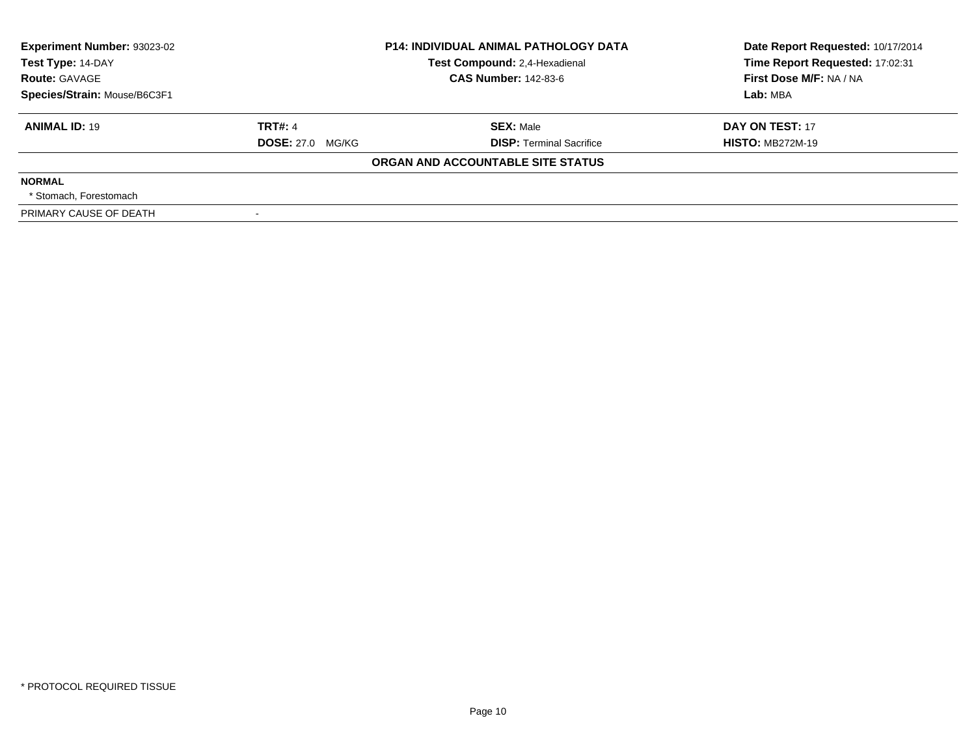| Experiment Number: 93023-02<br>Test Type: 14-DAY | <b>P14: INDIVIDUAL ANIMAL PATHOLOGY DATA</b><br>Test Compound: 2,4-Hexadienal |                                   | Date Report Requested: 10/17/2014<br>Time Report Requested: 17:02:31 |
|--------------------------------------------------|-------------------------------------------------------------------------------|-----------------------------------|----------------------------------------------------------------------|
| <b>Route: GAVAGE</b>                             |                                                                               | <b>CAS Number: 142-83-6</b>       | First Dose M/F: NA / NA                                              |
| Species/Strain: Mouse/B6C3F1                     |                                                                               |                                   | Lab: MBA                                                             |
| <b>ANIMAL ID: 19</b>                             | <b>TRT#: 4</b>                                                                | <b>SEX: Male</b>                  | DAY ON TEST: 17                                                      |
|                                                  | <b>DOSE: 27.0 MG/KG</b>                                                       | <b>DISP: Terminal Sacrifice</b>   | <b>HISTO: MB272M-19</b>                                              |
|                                                  |                                                                               | ORGAN AND ACCOUNTABLE SITE STATUS |                                                                      |
| <b>NORMAL</b>                                    |                                                                               |                                   |                                                                      |
| * Stomach. Forestomach                           |                                                                               |                                   |                                                                      |
| PRIMARY CAUSE OF DEATH                           |                                                                               |                                   |                                                                      |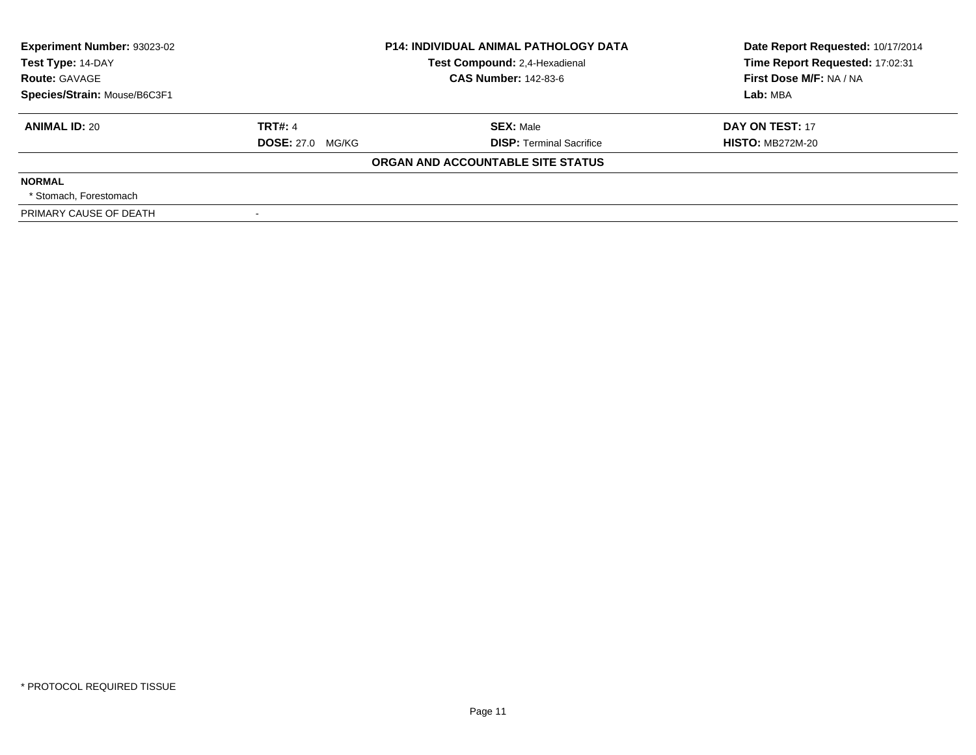| <b>Experiment Number: 93023-02</b><br>Test Type: 14-DAY<br><b>Route: GAVAGE</b> |                         | <b>P14: INDIVIDUAL ANIMAL PATHOLOGY DATA</b><br>Test Compound: 2,4-Hexadienal<br><b>CAS Number: 142-83-6</b> | Date Report Requested: 10/17/2014<br>Time Report Requested: 17:02:31<br>First Dose M/F: NA / NA |
|---------------------------------------------------------------------------------|-------------------------|--------------------------------------------------------------------------------------------------------------|-------------------------------------------------------------------------------------------------|
| Species/Strain: Mouse/B6C3F1                                                    |                         |                                                                                                              | Lab: MBA                                                                                        |
| <b>ANIMAL ID: 20</b>                                                            | <b>TRT#: 4</b>          | <b>SEX: Male</b>                                                                                             | DAY ON TEST: 17                                                                                 |
|                                                                                 | <b>DOSE: 27.0 MG/KG</b> | <b>DISP:</b> Terminal Sacrifice                                                                              | <b>HISTO: MB272M-20</b>                                                                         |
|                                                                                 |                         | ORGAN AND ACCOUNTABLE SITE STATUS                                                                            |                                                                                                 |
| <b>NORMAL</b>                                                                   |                         |                                                                                                              |                                                                                                 |
| * Stomach. Forestomach                                                          |                         |                                                                                                              |                                                                                                 |
| PRIMARY CAUSE OF DEATH                                                          |                         |                                                                                                              |                                                                                                 |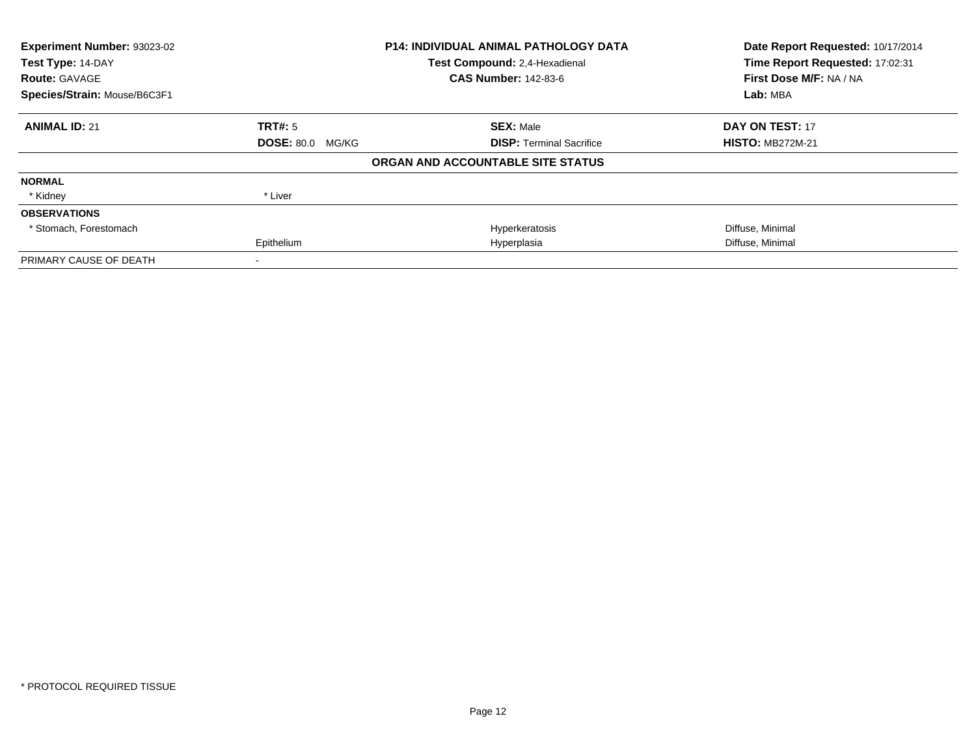| Experiment Number: 93023-02  |                         | <b>P14: INDIVIDUAL ANIMAL PATHOLOGY DATA</b> | Date Report Requested: 10/17/2014 |  |
|------------------------------|-------------------------|----------------------------------------------|-----------------------------------|--|
| Test Type: 14-DAY            |                         | Test Compound: 2,4-Hexadienal                | Time Report Requested: 17:02:31   |  |
| <b>Route: GAVAGE</b>         |                         | <b>CAS Number: 142-83-6</b>                  | First Dose M/F: NA / NA           |  |
| Species/Strain: Mouse/B6C3F1 |                         |                                              | Lab: MBA                          |  |
| <b>ANIMAL ID: 21</b>         | <b>TRT#: 5</b>          | <b>SEX: Male</b>                             | <b>DAY ON TEST: 17</b>            |  |
|                              | <b>DOSE: 80.0 MG/KG</b> | <b>DISP: Terminal Sacrifice</b>              | <b>HISTO: MB272M-21</b>           |  |
|                              |                         | ORGAN AND ACCOUNTABLE SITE STATUS            |                                   |  |
| <b>NORMAL</b>                |                         |                                              |                                   |  |
| * Kidney                     | * Liver                 |                                              |                                   |  |
| <b>OBSERVATIONS</b>          |                         |                                              |                                   |  |
| * Stomach, Forestomach       |                         | Hyperkeratosis                               | Diffuse, Minimal                  |  |
|                              | Epithelium              | Hyperplasia                                  | Diffuse, Minimal                  |  |
| PRIMARY CAUSE OF DEATH       |                         |                                              |                                   |  |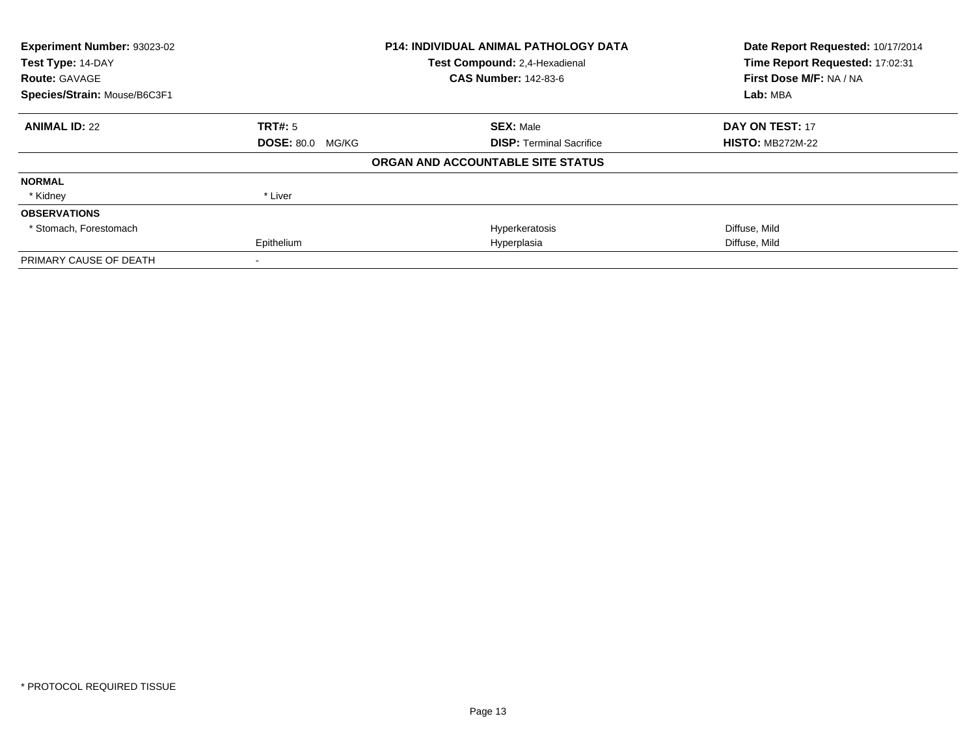| Experiment Number: 93023-02<br><b>P14: INDIVIDUAL ANIMAL PATHOLOGY DATA</b><br>Test Compound: 2,4-Hexadienal<br>Test Type: 14-DAY<br><b>CAS Number: 142-83-6</b><br><b>Route: GAVAGE</b> |                         |                                   | Date Report Requested: 10/17/2014<br>Time Report Requested: 17:02:31 |  |
|------------------------------------------------------------------------------------------------------------------------------------------------------------------------------------------|-------------------------|-----------------------------------|----------------------------------------------------------------------|--|
|                                                                                                                                                                                          |                         |                                   |                                                                      |  |
|                                                                                                                                                                                          |                         |                                   | First Dose M/F: NA / NA                                              |  |
| Species/Strain: Mouse/B6C3F1                                                                                                                                                             |                         |                                   | Lab: MBA                                                             |  |
| <b>ANIMAL ID: 22</b>                                                                                                                                                                     | <b>TRT#: 5</b>          | <b>SEX: Male</b>                  | <b>DAY ON TEST: 17</b>                                               |  |
|                                                                                                                                                                                          | <b>DOSE: 80.0 MG/KG</b> | <b>DISP:</b> Terminal Sacrifice   | <b>HISTO: MB272M-22</b>                                              |  |
|                                                                                                                                                                                          |                         | ORGAN AND ACCOUNTABLE SITE STATUS |                                                                      |  |
| <b>NORMAL</b>                                                                                                                                                                            |                         |                                   |                                                                      |  |
| * Kidney                                                                                                                                                                                 | * Liver                 |                                   |                                                                      |  |
| <b>OBSERVATIONS</b>                                                                                                                                                                      |                         |                                   |                                                                      |  |
| * Stomach, Forestomach                                                                                                                                                                   |                         | Hyperkeratosis                    | Diffuse, Mild                                                        |  |
|                                                                                                                                                                                          | Epithelium              | Hyperplasia                       | Diffuse, Mild                                                        |  |
| PRIMARY CAUSE OF DEATH                                                                                                                                                                   |                         |                                   |                                                                      |  |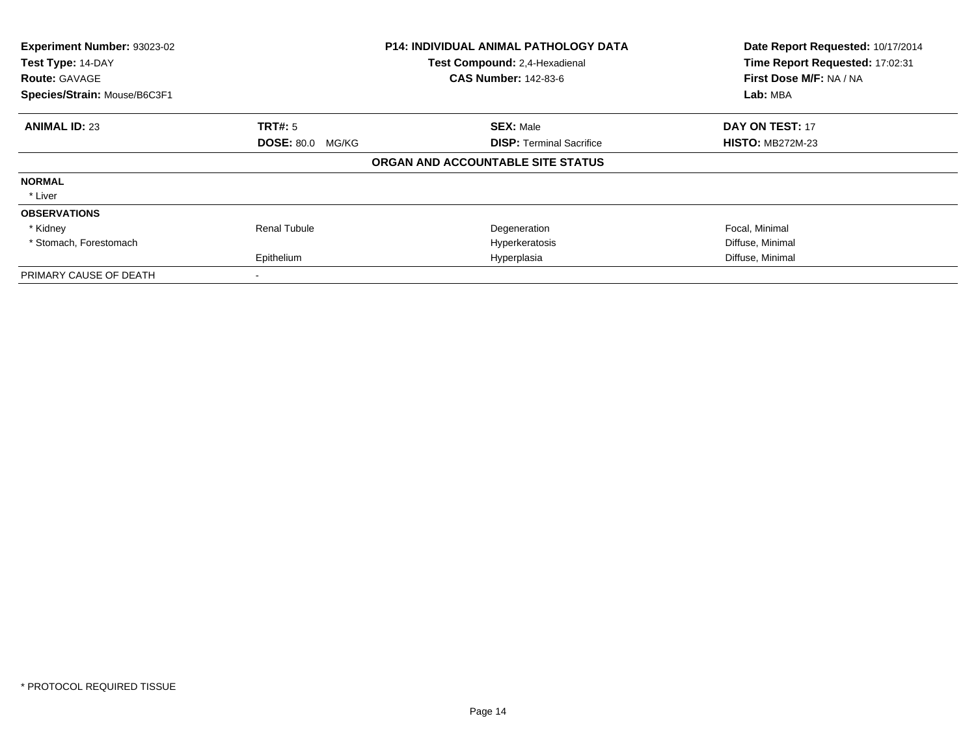| Experiment Number: 93023-02<br>Test Type: 14-DAY<br><b>Route: GAVAGE</b><br>Species/Strain: Mouse/B6C3F1 |                         | <b>P14: INDIVIDUAL ANIMAL PATHOLOGY DATA</b><br>Test Compound: 2,4-Hexadienal<br><b>CAS Number: 142-83-6</b> | Date Report Requested: 10/17/2014<br>Time Report Requested: 17:02:31<br>First Dose M/F: NA / NA<br>Lab: MBA |  |
|----------------------------------------------------------------------------------------------------------|-------------------------|--------------------------------------------------------------------------------------------------------------|-------------------------------------------------------------------------------------------------------------|--|
|                                                                                                          |                         |                                                                                                              |                                                                                                             |  |
| <b>ANIMAL ID: 23</b>                                                                                     | TRT#: 5                 | <b>SEX: Male</b>                                                                                             | <b>DAY ON TEST: 17</b>                                                                                      |  |
|                                                                                                          | <b>DOSE: 80.0 MG/KG</b> | <b>DISP:</b> Terminal Sacrifice                                                                              | <b>HISTO: MB272M-23</b>                                                                                     |  |
|                                                                                                          |                         | ORGAN AND ACCOUNTABLE SITE STATUS                                                                            |                                                                                                             |  |
| <b>NORMAL</b>                                                                                            |                         |                                                                                                              |                                                                                                             |  |
| * Liver                                                                                                  |                         |                                                                                                              |                                                                                                             |  |
| <b>OBSERVATIONS</b>                                                                                      |                         |                                                                                                              |                                                                                                             |  |
| * Kidney                                                                                                 | <b>Renal Tubule</b>     | Degeneration                                                                                                 | Focal, Minimal                                                                                              |  |
| * Stomach, Forestomach                                                                                   |                         | Hyperkeratosis                                                                                               | Diffuse, Minimal                                                                                            |  |
|                                                                                                          | Epithelium              | Hyperplasia                                                                                                  | Diffuse, Minimal                                                                                            |  |
| PRIMARY CAUSE OF DEATH                                                                                   |                         |                                                                                                              |                                                                                                             |  |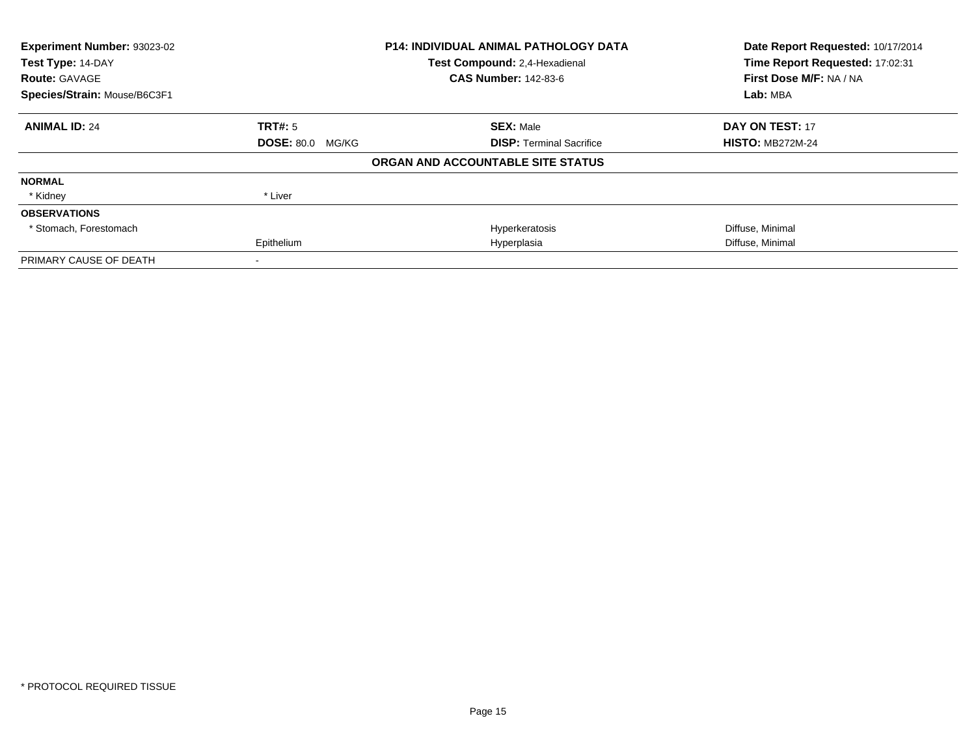| Experiment Number: 93023-02<br>Test Type: 14-DAY |                         | <b>P14: INDIVIDUAL ANIMAL PATHOLOGY DATA</b> | Date Report Requested: 10/17/2014<br>Time Report Requested: 17:02:31 |  |
|--------------------------------------------------|-------------------------|----------------------------------------------|----------------------------------------------------------------------|--|
|                                                  |                         | Test Compound: 2,4-Hexadienal                |                                                                      |  |
| <b>Route: GAVAGE</b>                             |                         | <b>CAS Number: 142-83-6</b>                  | First Dose M/F: NA / NA                                              |  |
| Species/Strain: Mouse/B6C3F1                     |                         |                                              | Lab: MBA                                                             |  |
| <b>ANIMAL ID: 24</b>                             | <b>TRT#: 5</b>          | <b>SEX: Male</b>                             | <b>DAY ON TEST: 17</b>                                               |  |
|                                                  | <b>DOSE: 80.0 MG/KG</b> | <b>DISP:</b> Terminal Sacrifice              | <b>HISTO: MB272M-24</b>                                              |  |
|                                                  |                         | ORGAN AND ACCOUNTABLE SITE STATUS            |                                                                      |  |
| <b>NORMAL</b>                                    |                         |                                              |                                                                      |  |
| * Kidney                                         | * Liver                 |                                              |                                                                      |  |
| <b>OBSERVATIONS</b>                              |                         |                                              |                                                                      |  |
| * Stomach, Forestomach                           |                         | Hyperkeratosis                               | Diffuse, Minimal                                                     |  |
|                                                  | Epithelium              | Hyperplasia                                  | Diffuse, Minimal                                                     |  |
| PRIMARY CAUSE OF DEATH                           |                         |                                              |                                                                      |  |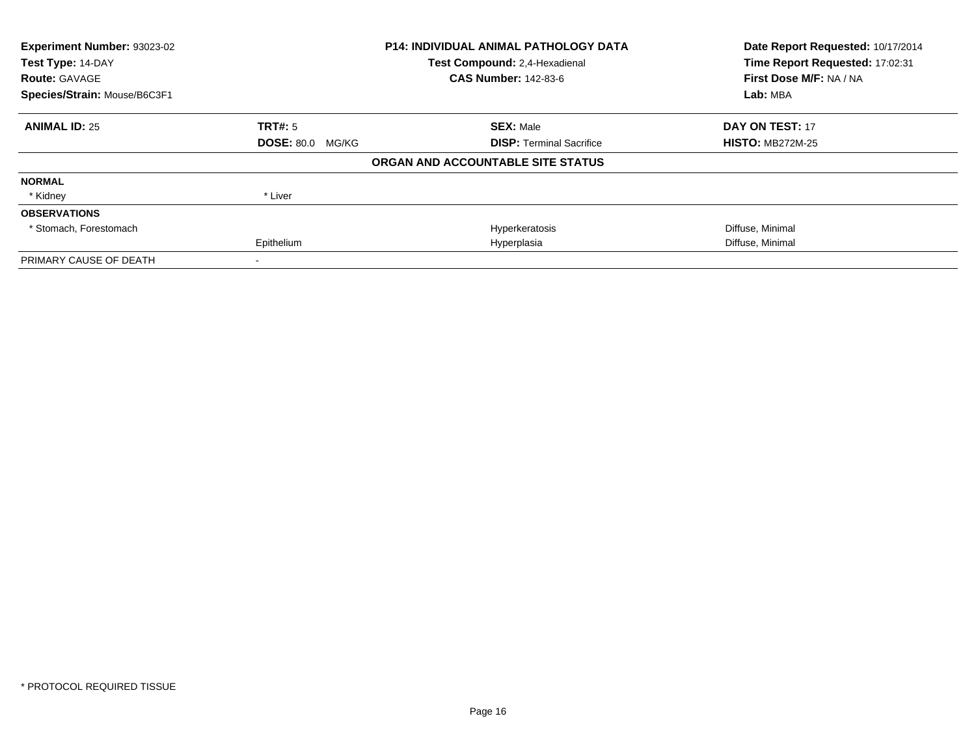| Experiment Number: 93023-02               |                         | <b>P14: INDIVIDUAL ANIMAL PATHOLOGY DATA</b>                 | Date Report Requested: 10/17/2014                          |
|-------------------------------------------|-------------------------|--------------------------------------------------------------|------------------------------------------------------------|
| Test Type: 14-DAY<br><b>Route: GAVAGE</b> |                         | Test Compound: 2,4-Hexadienal<br><b>CAS Number: 142-83-6</b> | Time Report Requested: 17:02:31<br>First Dose M/F: NA / NA |
| Species/Strain: Mouse/B6C3F1              |                         |                                                              | Lab: MBA                                                   |
| <b>ANIMAL ID: 25</b>                      | <b>TRT#: 5</b>          | <b>SEX: Male</b>                                             | <b>DAY ON TEST: 17</b>                                     |
|                                           | <b>DOSE: 80.0 MG/KG</b> | <b>DISP: Terminal Sacrifice</b>                              | <b>HISTO: MB272M-25</b>                                    |
|                                           |                         | ORGAN AND ACCOUNTABLE SITE STATUS                            |                                                            |
| <b>NORMAL</b>                             |                         |                                                              |                                                            |
| * Kidney                                  | * Liver                 |                                                              |                                                            |
| <b>OBSERVATIONS</b>                       |                         |                                                              |                                                            |
| * Stomach, Forestomach                    |                         | Hyperkeratosis                                               | Diffuse, Minimal                                           |
|                                           | Epithelium              | Hyperplasia                                                  | Diffuse, Minimal                                           |
| PRIMARY CAUSE OF DEATH                    |                         |                                                              |                                                            |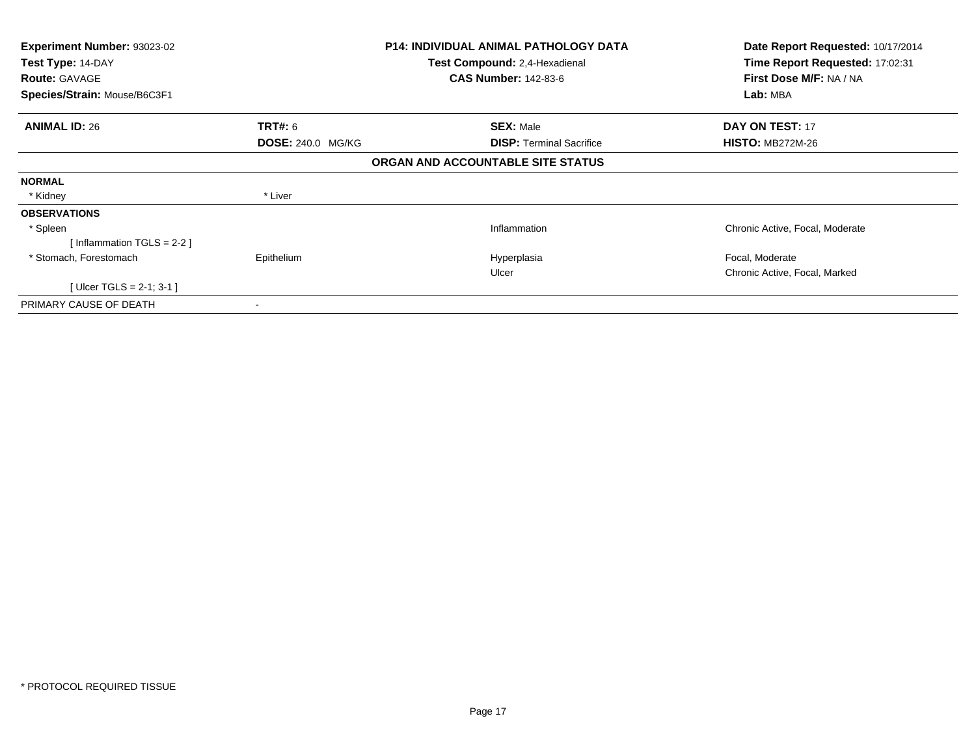| <b>Experiment Number: 93023-02</b><br>Test Type: 14-DAY |                          | <b>P14: INDIVIDUAL ANIMAL PATHOLOGY DATA</b><br>Test Compound: 2,4-Hexadienal | Date Report Requested: 10/17/2014<br>Time Report Requested: 17:02:31 |
|---------------------------------------------------------|--------------------------|-------------------------------------------------------------------------------|----------------------------------------------------------------------|
| <b>Route: GAVAGE</b>                                    |                          | <b>CAS Number: 142-83-6</b>                                                   | First Dose M/F: NA / NA                                              |
| Species/Strain: Mouse/B6C3F1                            |                          |                                                                               | Lab: MBA                                                             |
| <b>ANIMAL ID: 26</b>                                    | <b>TRT#:</b> 6           | <b>SEX: Male</b>                                                              | <b>DAY ON TEST: 17</b>                                               |
|                                                         | <b>DOSE: 240.0 MG/KG</b> | <b>DISP: Terminal Sacrifice</b>                                               | <b>HISTO: MB272M-26</b>                                              |
|                                                         |                          | ORGAN AND ACCOUNTABLE SITE STATUS                                             |                                                                      |
| <b>NORMAL</b>                                           |                          |                                                                               |                                                                      |
| * Kidney                                                | * Liver                  |                                                                               |                                                                      |
| <b>OBSERVATIONS</b>                                     |                          |                                                                               |                                                                      |
| * Spleen                                                |                          | Inflammation                                                                  | Chronic Active, Focal, Moderate                                      |
| [Inflammation TGLS = $2-2$ ]                            |                          |                                                                               |                                                                      |
| * Stomach, Forestomach                                  | Epithelium               | Hyperplasia                                                                   | Focal, Moderate                                                      |
|                                                         |                          | Ulcer                                                                         | Chronic Active, Focal, Marked                                        |
| [Ulcer TGLS = 2-1; 3-1 ]                                |                          |                                                                               |                                                                      |
| PRIMARY CAUSE OF DEATH                                  | ۰                        |                                                                               |                                                                      |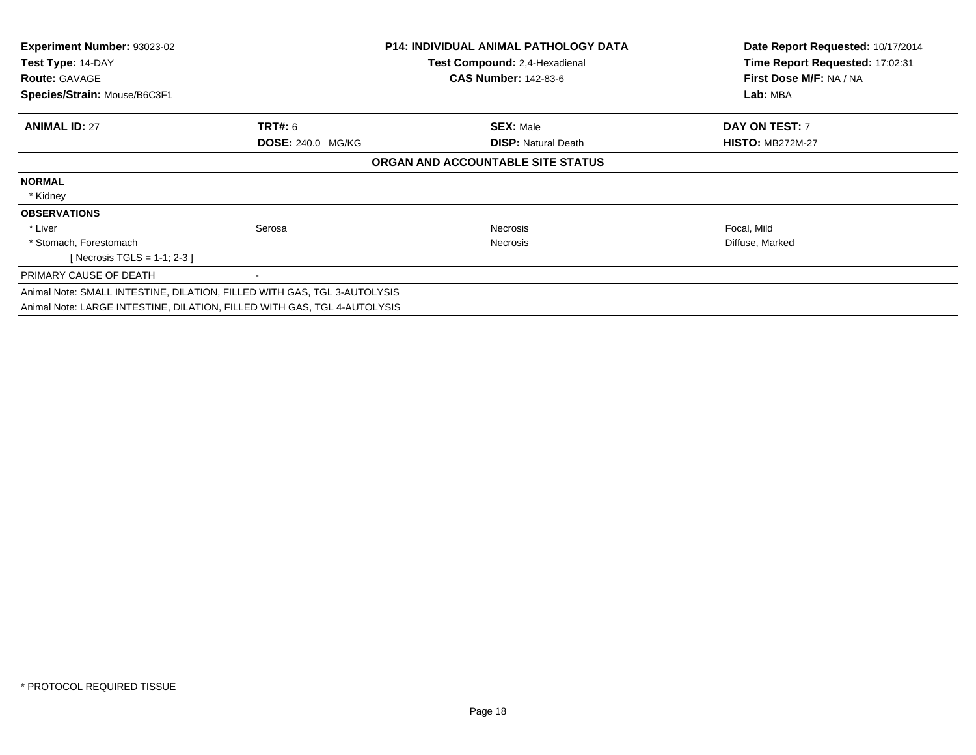| <b>Experiment Number: 93023-02</b><br>Test Type: 14-DAY                  |                          | <b>P14: INDIVIDUAL ANIMAL PATHOLOGY DATA</b><br><b>Test Compound: 2,4-Hexadienal</b> | Date Report Requested: 10/17/2014<br>Time Report Requested: 17:02:31 |
|--------------------------------------------------------------------------|--------------------------|--------------------------------------------------------------------------------------|----------------------------------------------------------------------|
| <b>Route: GAVAGE</b>                                                     |                          | <b>CAS Number: 142-83-6</b>                                                          | First Dose M/F: NA / NA                                              |
| Species/Strain: Mouse/B6C3F1                                             |                          |                                                                                      | Lab: MBA                                                             |
| <b>ANIMAL ID: 27</b>                                                     | TRT#: 6                  | <b>SEX: Male</b>                                                                     | DAY ON TEST: 7                                                       |
|                                                                          | <b>DOSE: 240.0 MG/KG</b> | <b>DISP: Natural Death</b>                                                           | <b>HISTO: MB272M-27</b>                                              |
|                                                                          |                          | ORGAN AND ACCOUNTABLE SITE STATUS                                                    |                                                                      |
| <b>NORMAL</b>                                                            |                          |                                                                                      |                                                                      |
| * Kidney                                                                 |                          |                                                                                      |                                                                      |
| <b>OBSERVATIONS</b>                                                      |                          |                                                                                      |                                                                      |
| * Liver                                                                  | Serosa                   | Necrosis                                                                             | Focal, Mild                                                          |
| * Stomach, Forestomach                                                   |                          | <b>Necrosis</b>                                                                      | Diffuse, Marked                                                      |
| [ Necrosis TGLS = $1-1$ ; 2-3 ]                                          |                          |                                                                                      |                                                                      |
| PRIMARY CAUSE OF DEATH                                                   |                          |                                                                                      |                                                                      |
| Animal Note: SMALL INTESTINE, DILATION, FILLED WITH GAS, TGL 3-AUTOLYSIS |                          |                                                                                      |                                                                      |
| Animal Note: LARGE INTESTINE, DILATION, FILLED WITH GAS, TGL 4-AUTOLYSIS |                          |                                                                                      |                                                                      |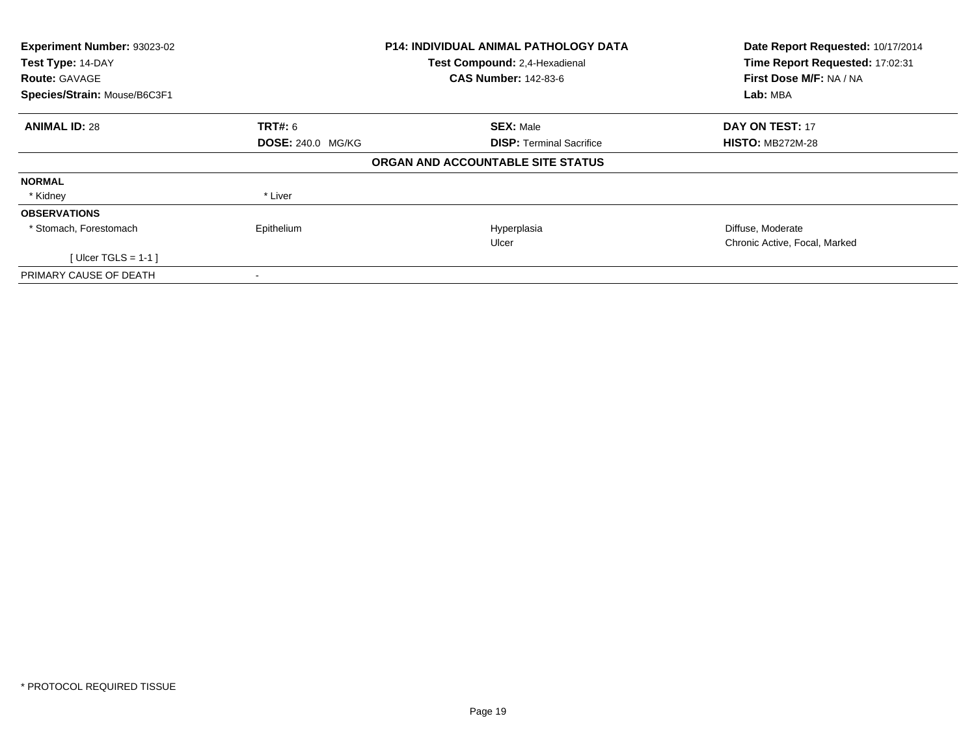| Experiment Number: 93023-02<br>Test Type: 14-DAY<br><b>Route: GAVAGE</b> |                          | <b>P14: INDIVIDUAL ANIMAL PATHOLOGY DATA</b><br>Test Compound: 2,4-Hexadienal<br><b>CAS Number: 142-83-6</b> | Date Report Requested: 10/17/2014<br>Time Report Requested: 17:02:31<br>First Dose M/F: NA / NA |
|--------------------------------------------------------------------------|--------------------------|--------------------------------------------------------------------------------------------------------------|-------------------------------------------------------------------------------------------------|
| Species/Strain: Mouse/B6C3F1                                             |                          |                                                                                                              | Lab: MBA                                                                                        |
| <b>ANIMAL ID: 28</b>                                                     | <b>TRT#:</b> 6           | <b>SEX: Male</b>                                                                                             | <b>DAY ON TEST: 17</b>                                                                          |
|                                                                          | <b>DOSE: 240.0 MG/KG</b> | <b>DISP:</b> Terminal Sacrifice                                                                              | <b>HISTO: MB272M-28</b>                                                                         |
|                                                                          |                          | ORGAN AND ACCOUNTABLE SITE STATUS                                                                            |                                                                                                 |
| <b>NORMAL</b>                                                            |                          |                                                                                                              |                                                                                                 |
| * Kidney                                                                 | * Liver                  |                                                                                                              |                                                                                                 |
| <b>OBSERVATIONS</b>                                                      |                          |                                                                                                              |                                                                                                 |
| * Stomach, Forestomach                                                   | Epithelium               | Hyperplasia                                                                                                  | Diffuse, Moderate                                                                               |
|                                                                          |                          | Ulcer                                                                                                        | Chronic Active, Focal, Marked                                                                   |
| [Ulcer TGLS = 1-1 ]                                                      |                          |                                                                                                              |                                                                                                 |
| PRIMARY CAUSE OF DEATH                                                   |                          |                                                                                                              |                                                                                                 |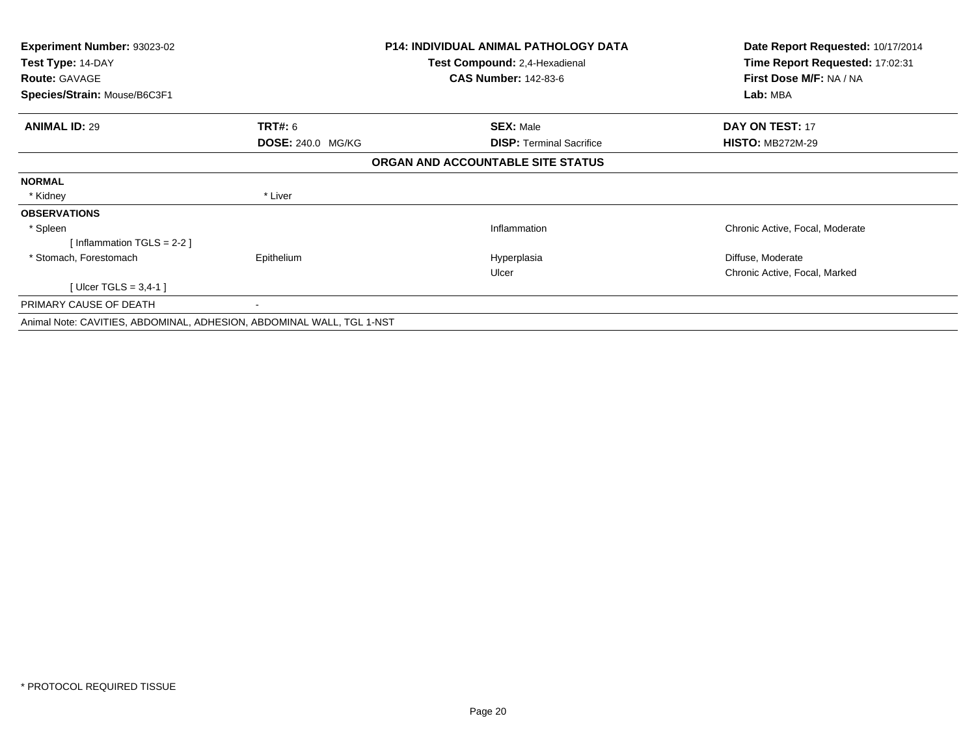| Experiment Number: 93023-02                                           |                          | <b>P14: INDIVIDUAL ANIMAL PATHOLOGY DATA</b> | Date Report Requested: 10/17/2014 |
|-----------------------------------------------------------------------|--------------------------|----------------------------------------------|-----------------------------------|
| Test Type: 14-DAY                                                     |                          | Test Compound: 2,4-Hexadienal                | Time Report Requested: 17:02:31   |
| <b>Route: GAVAGE</b>                                                  |                          | <b>CAS Number: 142-83-6</b>                  | First Dose M/F: NA / NA           |
| Species/Strain: Mouse/B6C3F1                                          |                          |                                              | Lab: MBA                          |
| <b>ANIMAL ID: 29</b>                                                  | <b>TRT#: 6</b>           | <b>SEX: Male</b>                             | <b>DAY ON TEST: 17</b>            |
|                                                                       | <b>DOSE: 240.0 MG/KG</b> | <b>DISP: Terminal Sacrifice</b>              | <b>HISTO: MB272M-29</b>           |
|                                                                       |                          | ORGAN AND ACCOUNTABLE SITE STATUS            |                                   |
| <b>NORMAL</b>                                                         |                          |                                              |                                   |
| * Kidney                                                              | * Liver                  |                                              |                                   |
| <b>OBSERVATIONS</b>                                                   |                          |                                              |                                   |
| * Spleen                                                              |                          | Inflammation                                 | Chronic Active, Focal, Moderate   |
| [Inflammation TGLS = $2-2$ ]                                          |                          |                                              |                                   |
| * Stomach, Forestomach                                                | Epithelium               | Hyperplasia                                  | Diffuse, Moderate                 |
|                                                                       |                          | Ulcer                                        | Chronic Active, Focal, Marked     |
| [Ulcer TGLS = 3,4-1]                                                  |                          |                                              |                                   |
| PRIMARY CAUSE OF DEATH                                                | $\blacksquare$           |                                              |                                   |
| Animal Note: CAVITIES, ABDOMINAL, ADHESION, ABDOMINAL WALL, TGL 1-NST |                          |                                              |                                   |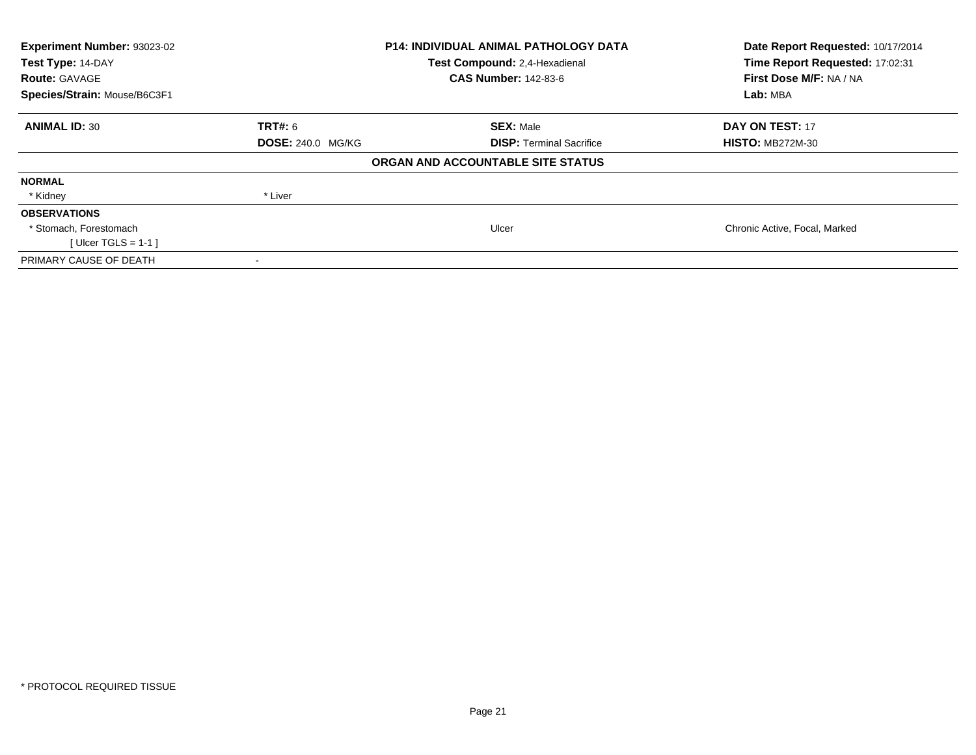| Experiment Number: 93023-02<br>Test Type: 14-DAY<br><b>Route: GAVAGE</b> | <b>P14: INDIVIDUAL ANIMAL PATHOLOGY DATA</b><br>Test Compound: 2,4-Hexadienal<br><b>CAS Number: 142-83-6</b> |                                   | Date Report Requested: 10/17/2014<br>Time Report Requested: 17:02:31<br>First Dose M/F: NA / NA |  |
|--------------------------------------------------------------------------|--------------------------------------------------------------------------------------------------------------|-----------------------------------|-------------------------------------------------------------------------------------------------|--|
| Species/Strain: Mouse/B6C3F1                                             |                                                                                                              |                                   | Lab: MBA                                                                                        |  |
| <b>ANIMAL ID: 30</b>                                                     | <b>TRT#:</b> 6                                                                                               | <b>SEX: Male</b>                  | <b>DAY ON TEST: 17</b>                                                                          |  |
|                                                                          | <b>DOSE: 240.0 MG/KG</b>                                                                                     | <b>DISP:</b> Terminal Sacrifice   | <b>HISTO: MB272M-30</b>                                                                         |  |
|                                                                          |                                                                                                              | ORGAN AND ACCOUNTABLE SITE STATUS |                                                                                                 |  |
| <b>NORMAL</b>                                                            |                                                                                                              |                                   |                                                                                                 |  |
| * Kidney                                                                 | * Liver                                                                                                      |                                   |                                                                                                 |  |
| <b>OBSERVATIONS</b>                                                      |                                                                                                              |                                   |                                                                                                 |  |
| * Stomach, Forestomach                                                   |                                                                                                              | Ulcer                             | Chronic Active, Focal, Marked                                                                   |  |
| [ Ulcer TGLS = $1-1$ ]                                                   |                                                                                                              |                                   |                                                                                                 |  |
| PRIMARY CAUSE OF DEATH                                                   |                                                                                                              |                                   |                                                                                                 |  |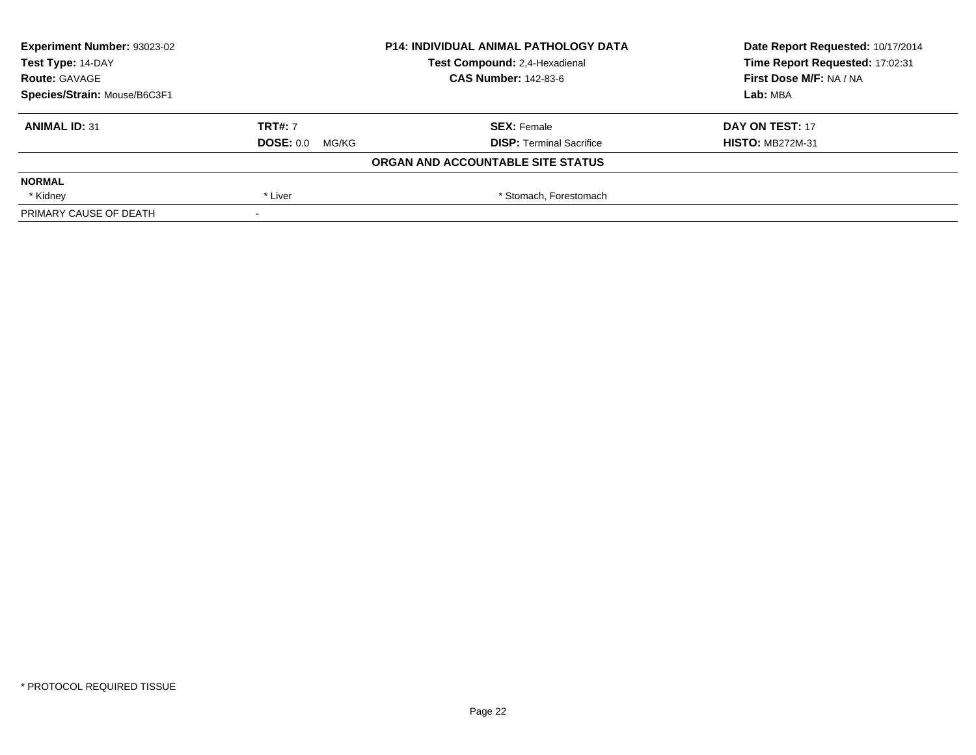| <b>Experiment Number: 93023-02</b> | <b>P14: INDIVIDUAL ANIMAL PATHOLOGY DATA</b><br>Test Compound: 2,4-Hexadienal<br><b>CAS Number: 142-83-6</b> |                                   | Date Report Requested: 10/17/2014 |
|------------------------------------|--------------------------------------------------------------------------------------------------------------|-----------------------------------|-----------------------------------|
| Test Type: 14-DAY                  |                                                                                                              |                                   | Time Report Requested: 17:02:31   |
| <b>Route: GAVAGE</b>               |                                                                                                              |                                   | First Dose M/F: NA / NA           |
| Species/Strain: Mouse/B6C3F1       |                                                                                                              |                                   | Lab: MBA                          |
| <b>ANIMAL ID: 31</b>               | <b>TRT#: 7</b>                                                                                               | <b>SEX: Female</b>                | DAY ON TEST: 17                   |
|                                    | $DOSE: 0.0$ MG/KG                                                                                            | <b>DISP: Terminal Sacrifice</b>   | <b>HISTO: MB272M-31</b>           |
|                                    |                                                                                                              | ORGAN AND ACCOUNTABLE SITE STATUS |                                   |
| <b>NORMAL</b>                      |                                                                                                              |                                   |                                   |
| * Kidney                           | * Liver                                                                                                      | * Stomach, Forestomach            |                                   |
| PRIMARY CAUSE OF DEATH             |                                                                                                              |                                   |                                   |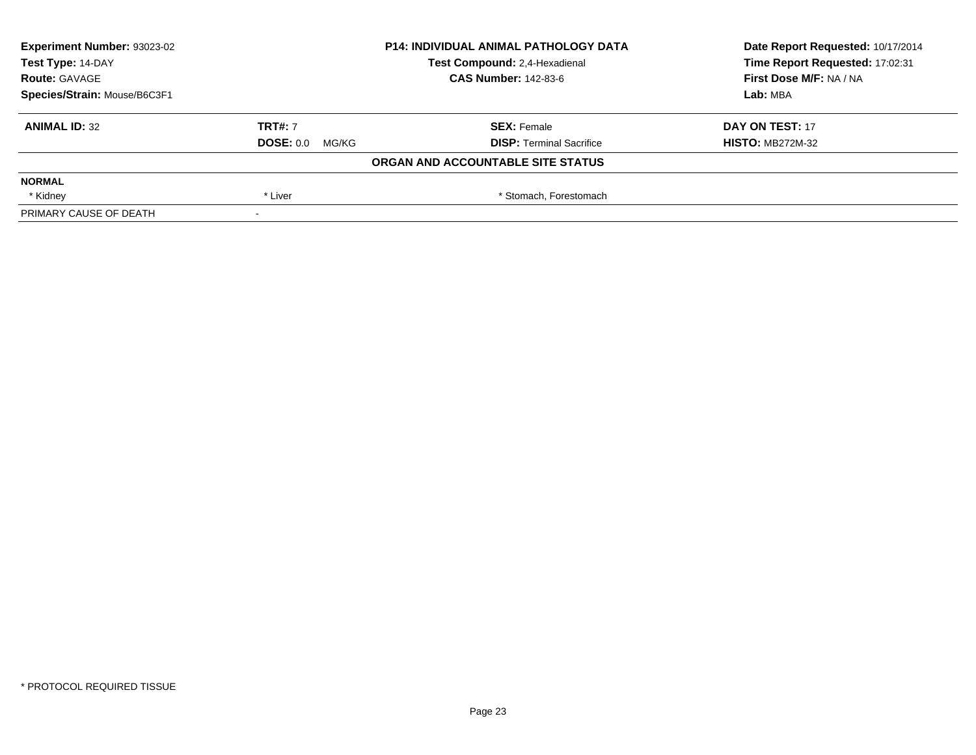| <b>Experiment Number: 93023-02</b> | <b>P14: INDIVIDUAL ANIMAL PATHOLOGY DATA</b><br>Test Compound: 2,4-Hexadienal |                                   | Date Report Requested: 10/17/2014 |
|------------------------------------|-------------------------------------------------------------------------------|-----------------------------------|-----------------------------------|
| Test Type: 14-DAY                  |                                                                               |                                   | Time Report Requested: 17:02:31   |
| <b>Route: GAVAGE</b>               |                                                                               | <b>CAS Number: 142-83-6</b>       | First Dose M/F: NA / NA           |
| Species/Strain: Mouse/B6C3F1       |                                                                               |                                   | Lab: MBA                          |
| <b>ANIMAL ID: 32</b>               | <b>TRT#: 7</b>                                                                | <b>SEX: Female</b>                | DAY ON TEST: 17                   |
|                                    | $DOSE: 0.0$ MG/KG                                                             | <b>DISP: Terminal Sacrifice</b>   | <b>HISTO: MB272M-32</b>           |
|                                    |                                                                               | ORGAN AND ACCOUNTABLE SITE STATUS |                                   |
| <b>NORMAL</b>                      |                                                                               |                                   |                                   |
| * Kidney                           | * Liver                                                                       | * Stomach, Forestomach            |                                   |
| PRIMARY CAUSE OF DEATH             |                                                                               |                                   |                                   |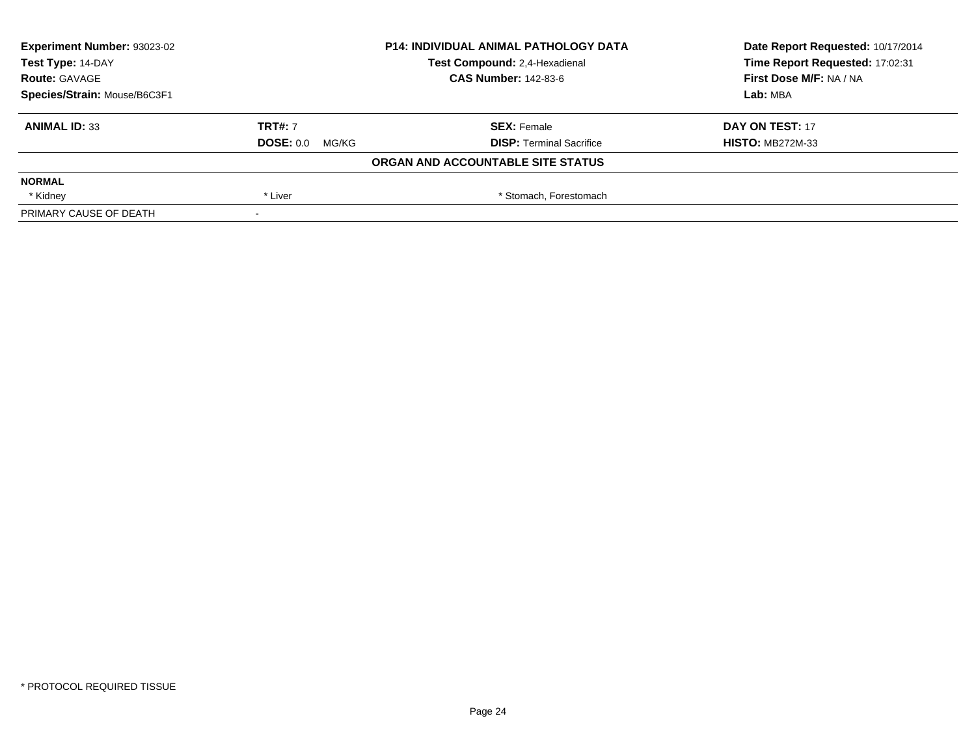| <b>Experiment Number: 93023-02</b> | <b>P14: INDIVIDUAL ANIMAL PATHOLOGY DATA</b><br>Test Compound: 2,4-Hexadienal |                                   | Date Report Requested: 10/17/2014 |
|------------------------------------|-------------------------------------------------------------------------------|-----------------------------------|-----------------------------------|
| Test Type: 14-DAY                  |                                                                               |                                   | Time Report Requested: 17:02:31   |
| <b>Route: GAVAGE</b>               |                                                                               | <b>CAS Number: 142-83-6</b>       | First Dose M/F: NA / NA           |
| Species/Strain: Mouse/B6C3F1       |                                                                               |                                   | Lab: MBA                          |
| <b>ANIMAL ID: 33</b>               | <b>TRT#: 7</b>                                                                | <b>SEX: Female</b>                | DAY ON TEST: 17                   |
|                                    | $DOSE: 0.0$ MG/KG                                                             | <b>DISP: Terminal Sacrifice</b>   | <b>HISTO: MB272M-33</b>           |
|                                    |                                                                               | ORGAN AND ACCOUNTABLE SITE STATUS |                                   |
| <b>NORMAL</b>                      |                                                                               |                                   |                                   |
| * Kidney                           | * Liver                                                                       | * Stomach, Forestomach            |                                   |
| PRIMARY CAUSE OF DEATH             |                                                                               |                                   |                                   |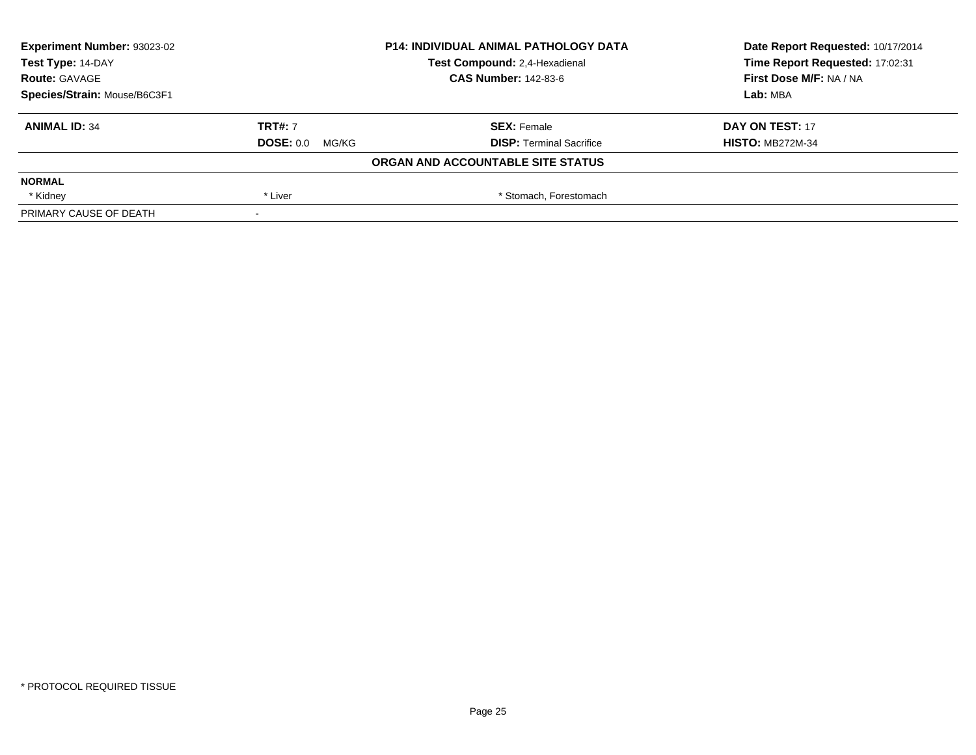| Experiment Number: 93023-02  | <b>P14: INDIVIDUAL ANIMAL PATHOLOGY DATA</b> |                                   | Date Report Requested: 10/17/2014 |
|------------------------------|----------------------------------------------|-----------------------------------|-----------------------------------|
| Test Type: 14-DAY            |                                              | Test Compound: 2,4-Hexadienal     | Time Report Requested: 17:02:31   |
| <b>Route: GAVAGE</b>         |                                              | <b>CAS Number: 142-83-6</b>       | First Dose M/F: NA / NA           |
| Species/Strain: Mouse/B6C3F1 |                                              |                                   | Lab: MBA                          |
| <b>ANIMAL ID: 34</b>         | <b>TRT#: 7</b>                               | <b>SEX: Female</b>                | DAY ON TEST: 17                   |
|                              | <b>DOSE: 0.0</b><br>MG/KG                    | <b>DISP: Terminal Sacrifice</b>   | <b>HISTO: MB272M-34</b>           |
|                              |                                              | ORGAN AND ACCOUNTABLE SITE STATUS |                                   |
| <b>NORMAL</b>                |                                              |                                   |                                   |
| * Kidney                     | * Liver                                      | * Stomach, Forestomach            |                                   |
| PRIMARY CAUSE OF DEATH       |                                              |                                   |                                   |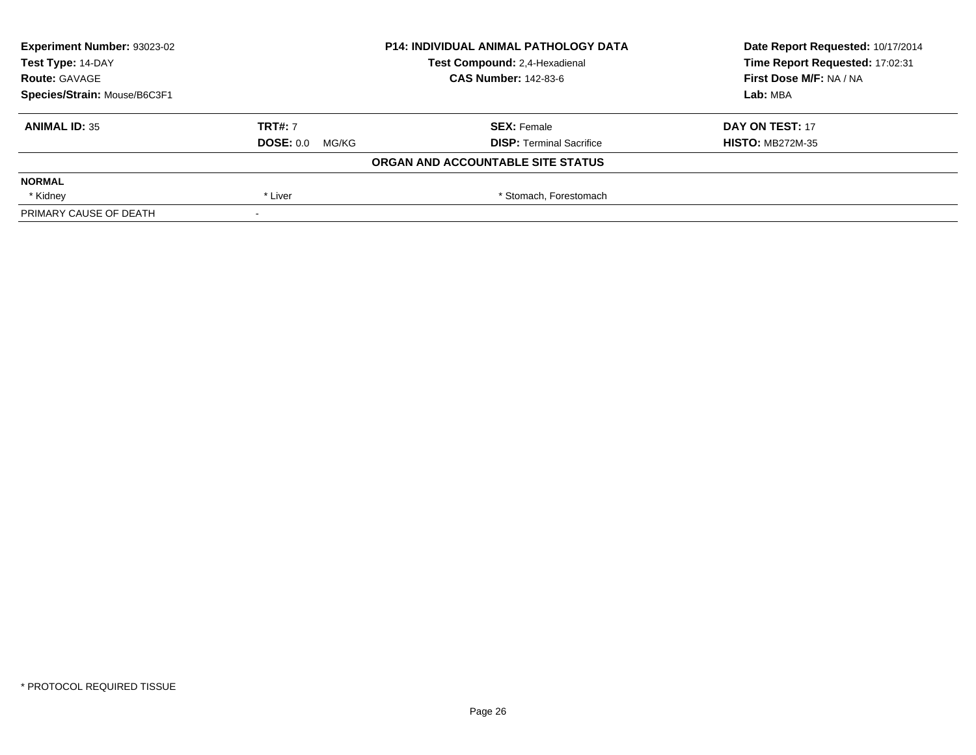| <b>Experiment Number: 93023-02</b> | <b>P14: INDIVIDUAL ANIMAL PATHOLOGY DATA</b><br>Test Compound: 2,4-Hexadienal<br><b>CAS Number: 142-83-6</b> |                                   | Date Report Requested: 10/17/2014 |
|------------------------------------|--------------------------------------------------------------------------------------------------------------|-----------------------------------|-----------------------------------|
| Test Type: 14-DAY                  |                                                                                                              |                                   | Time Report Requested: 17:02:31   |
| <b>Route: GAVAGE</b>               |                                                                                                              |                                   | First Dose M/F: NA / NA           |
| Species/Strain: Mouse/B6C3F1       |                                                                                                              |                                   | Lab: MBA                          |
| <b>ANIMAL ID: 35</b>               | <b>TRT#: 7</b>                                                                                               | <b>SEX: Female</b>                | DAY ON TEST: 17                   |
|                                    | $DOSE: 0.0$ MG/KG                                                                                            | <b>DISP: Terminal Sacrifice</b>   | <b>HISTO: MB272M-35</b>           |
|                                    |                                                                                                              | ORGAN AND ACCOUNTABLE SITE STATUS |                                   |
| <b>NORMAL</b>                      |                                                                                                              |                                   |                                   |
| * Kidney                           | * Liver                                                                                                      | * Stomach, Forestomach            |                                   |
| PRIMARY CAUSE OF DEATH             |                                                                                                              |                                   |                                   |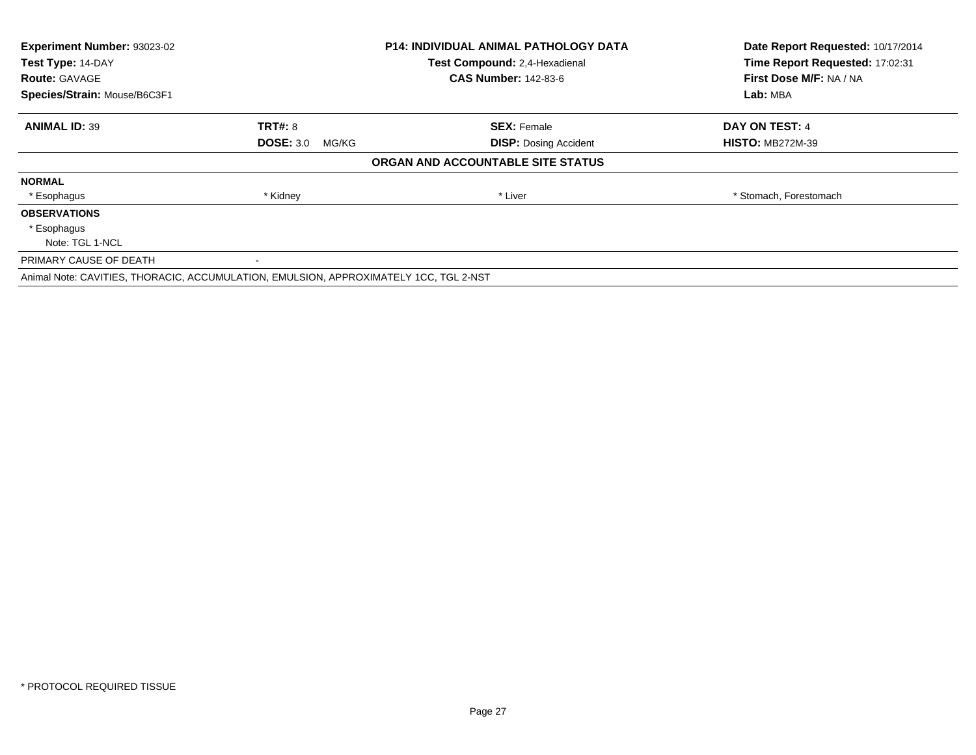| Experiment Number: 93023-02                                                           |                           | <b>P14: INDIVIDUAL ANIMAL PATHOLOGY DATA</b> | Date Report Requested: 10/17/2014 |
|---------------------------------------------------------------------------------------|---------------------------|----------------------------------------------|-----------------------------------|
| Test Type: 14-DAY                                                                     |                           | Test Compound: 2,4-Hexadienal                | Time Report Requested: 17:02:31   |
| <b>Route: GAVAGE</b>                                                                  |                           | <b>CAS Number: 142-83-6</b>                  | First Dose M/F: NA / NA           |
| Species/Strain: Mouse/B6C3F1                                                          |                           |                                              | Lab: MBA                          |
| <b>ANIMAL ID: 39</b>                                                                  | <b>TRT#: 8</b>            | <b>SEX: Female</b>                           | <b>DAY ON TEST: 4</b>             |
|                                                                                       | <b>DOSE: 3.0</b><br>MG/KG | <b>DISP:</b> Dosing Accident                 | <b>HISTO: MB272M-39</b>           |
|                                                                                       |                           | ORGAN AND ACCOUNTABLE SITE STATUS            |                                   |
| <b>NORMAL</b>                                                                         |                           |                                              |                                   |
| * Esophagus                                                                           | * Kidney                  | * Liver                                      | * Stomach, Forestomach            |
| <b>OBSERVATIONS</b>                                                                   |                           |                                              |                                   |
| * Esophagus                                                                           |                           |                                              |                                   |
| Note: TGL 1-NCL                                                                       |                           |                                              |                                   |
| PRIMARY CAUSE OF DEATH                                                                | $\blacksquare$            |                                              |                                   |
| Animal Note: CAVITIES, THORACIC, ACCUMULATION, EMULSION, APPROXIMATELY 1CC, TGL 2-NST |                           |                                              |                                   |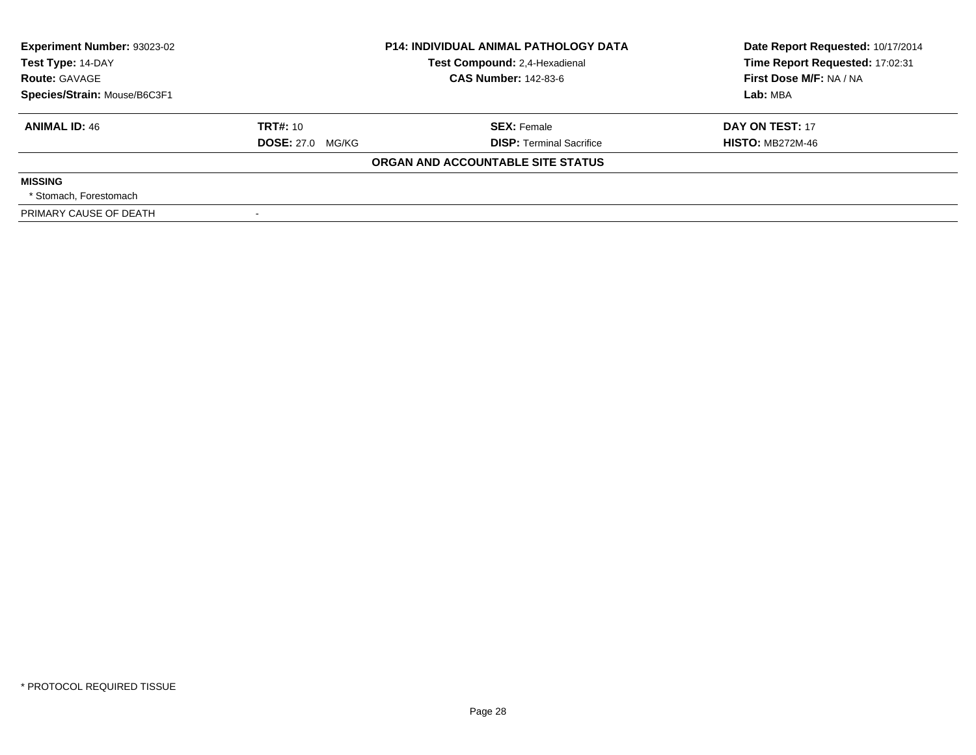| <b>Experiment Number: 93023-02</b><br>Test Type: 14-DAY<br><b>Route: GAVAGE</b> |                         | <b>P14: INDIVIDUAL ANIMAL PATHOLOGY DATA</b><br>Test Compound: 2,4-Hexadienal<br><b>CAS Number: 142-83-6</b> | Date Report Requested: 10/17/2014<br>Time Report Requested: 17:02:31<br>First Dose M/F: NA / NA |
|---------------------------------------------------------------------------------|-------------------------|--------------------------------------------------------------------------------------------------------------|-------------------------------------------------------------------------------------------------|
| Species/Strain: Mouse/B6C3F1                                                    |                         |                                                                                                              | Lab: MBA                                                                                        |
| <b>ANIMAL ID: 46</b>                                                            | TRT#: 10                | <b>SEX: Female</b>                                                                                           | DAY ON TEST: 17                                                                                 |
|                                                                                 | <b>DOSE: 27.0 MG/KG</b> | <b>DISP: Terminal Sacrifice</b>                                                                              | <b>HISTO: MB272M-46</b>                                                                         |
|                                                                                 |                         | ORGAN AND ACCOUNTABLE SITE STATUS                                                                            |                                                                                                 |
| <b>MISSING</b>                                                                  |                         |                                                                                                              |                                                                                                 |
| * Stomach. Forestomach                                                          |                         |                                                                                                              |                                                                                                 |
| PRIMARY CAUSE OF DEATH                                                          |                         |                                                                                                              |                                                                                                 |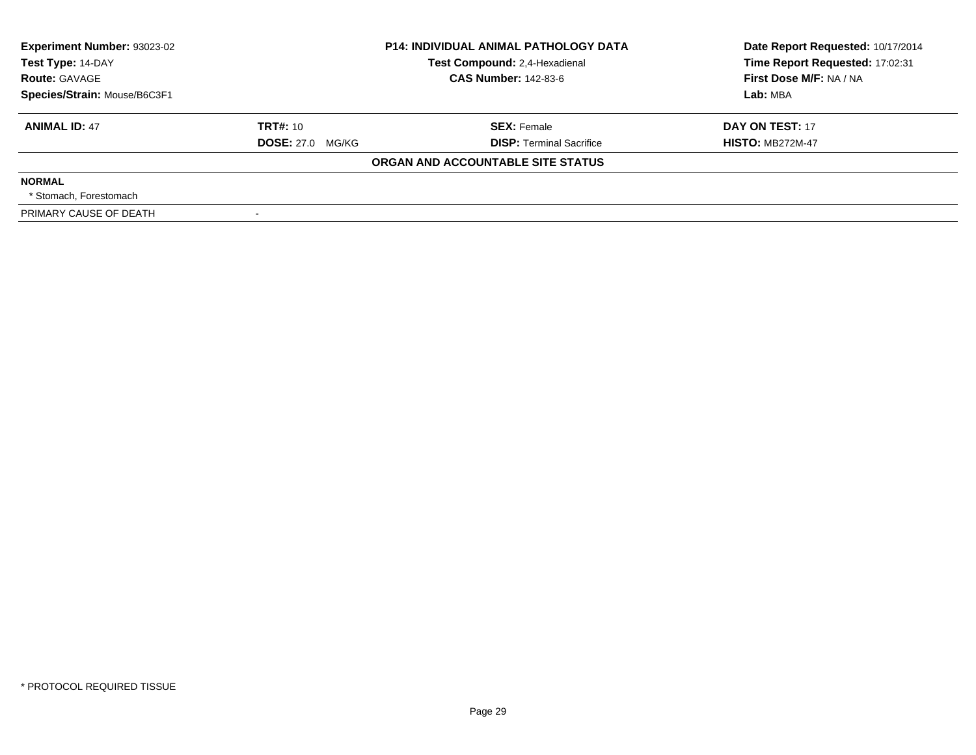| Experiment Number: 93023-02<br>Test Type: 14-DAY |                         | <b>P14: INDIVIDUAL ANIMAL PATHOLOGY DATA</b><br>Test Compound: 2,4-Hexadienal | Date Report Requested: 10/17/2014<br>Time Report Requested: 17:02:31 |  |
|--------------------------------------------------|-------------------------|-------------------------------------------------------------------------------|----------------------------------------------------------------------|--|
| <b>Route: GAVAGE</b>                             |                         | <b>CAS Number: 142-83-6</b>                                                   | First Dose M/F: NA / NA                                              |  |
| Species/Strain: Mouse/B6C3F1                     |                         |                                                                               | Lab: MBA                                                             |  |
| <b>ANIMAL ID: 47</b>                             | TRT#: 10                | <b>SEX: Female</b>                                                            | DAY ON TEST: 17                                                      |  |
|                                                  | <b>DOSE: 27.0 MG/KG</b> | <b>DISP: Terminal Sacrifice</b>                                               | <b>HISTO: MB272M-47</b>                                              |  |
|                                                  |                         | ORGAN AND ACCOUNTABLE SITE STATUS                                             |                                                                      |  |
| <b>NORMAL</b>                                    |                         |                                                                               |                                                                      |  |
| * Stomach. Forestomach                           |                         |                                                                               |                                                                      |  |
| PRIMARY CAUSE OF DEATH                           |                         |                                                                               |                                                                      |  |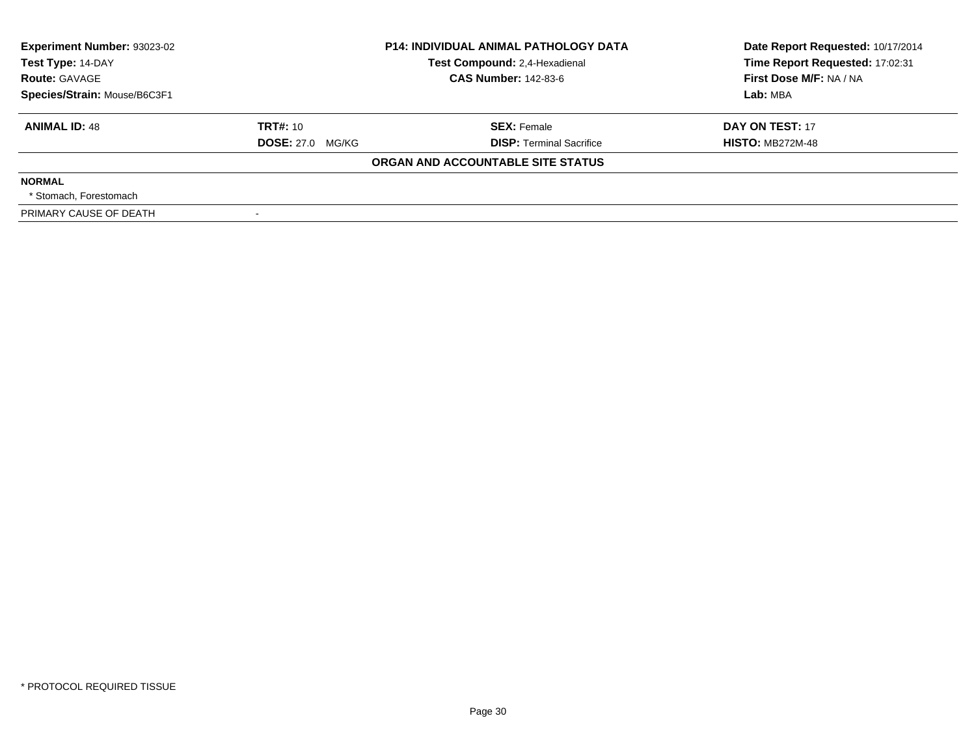| Experiment Number: 93023-02<br>Test Type: 14-DAY | <b>P14: INDIVIDUAL ANIMAL PATHOLOGY DATA</b><br>Test Compound: 2,4-Hexadienal |                                   | Date Report Requested: 10/17/2014<br>Time Report Requested: 17:02:31 |  |
|--------------------------------------------------|-------------------------------------------------------------------------------|-----------------------------------|----------------------------------------------------------------------|--|
| <b>Route: GAVAGE</b>                             |                                                                               | <b>CAS Number: 142-83-6</b>       | First Dose M/F: NA / NA                                              |  |
| Species/Strain: Mouse/B6C3F1                     |                                                                               |                                   | Lab: MBA                                                             |  |
| <b>ANIMAL ID: 48</b>                             | TRT#: 10                                                                      | <b>SEX: Female</b>                | DAY ON TEST: 17                                                      |  |
|                                                  | <b>DOSE: 27.0 MG/KG</b>                                                       | <b>DISP: Terminal Sacrifice</b>   | <b>HISTO: MB272M-48</b>                                              |  |
|                                                  |                                                                               | ORGAN AND ACCOUNTABLE SITE STATUS |                                                                      |  |
| <b>NORMAL</b>                                    |                                                                               |                                   |                                                                      |  |
| * Stomach. Forestomach                           |                                                                               |                                   |                                                                      |  |
| PRIMARY CAUSE OF DEATH                           |                                                                               |                                   |                                                                      |  |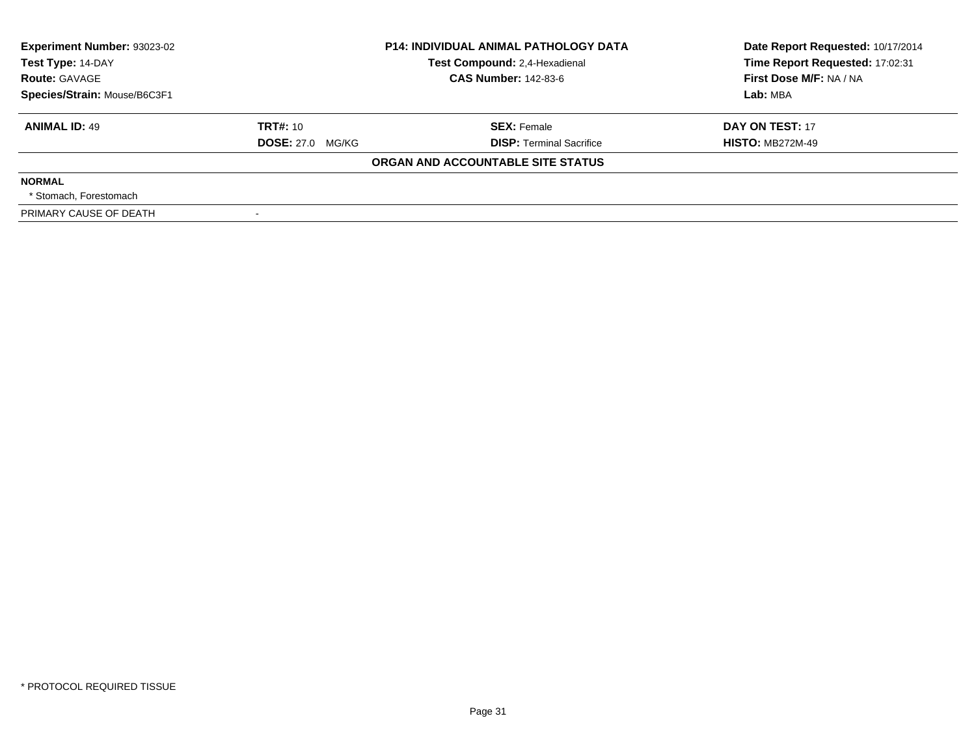| Experiment Number: 93023-02<br>Test Type: 14-DAY | <b>P14: INDIVIDUAL ANIMAL PATHOLOGY DATA</b><br>Test Compound: 2,4-Hexadienal |                                   | Date Report Requested: 10/17/2014<br>Time Report Requested: 17:02:31 |  |
|--------------------------------------------------|-------------------------------------------------------------------------------|-----------------------------------|----------------------------------------------------------------------|--|
| <b>Route: GAVAGE</b>                             |                                                                               | <b>CAS Number: 142-83-6</b>       | First Dose M/F: NA / NA                                              |  |
| Species/Strain: Mouse/B6C3F1                     |                                                                               |                                   | Lab: MBA                                                             |  |
| <b>ANIMAL ID: 49</b>                             | TRT#: 10                                                                      | <b>SEX: Female</b>                | DAY ON TEST: 17                                                      |  |
|                                                  | <b>DOSE: 27.0 MG/KG</b>                                                       | <b>DISP: Terminal Sacrifice</b>   | <b>HISTO: MB272M-49</b>                                              |  |
|                                                  |                                                                               | ORGAN AND ACCOUNTABLE SITE STATUS |                                                                      |  |
| <b>NORMAL</b>                                    |                                                                               |                                   |                                                                      |  |
| * Stomach. Forestomach                           |                                                                               |                                   |                                                                      |  |
| PRIMARY CAUSE OF DEATH                           |                                                                               |                                   |                                                                      |  |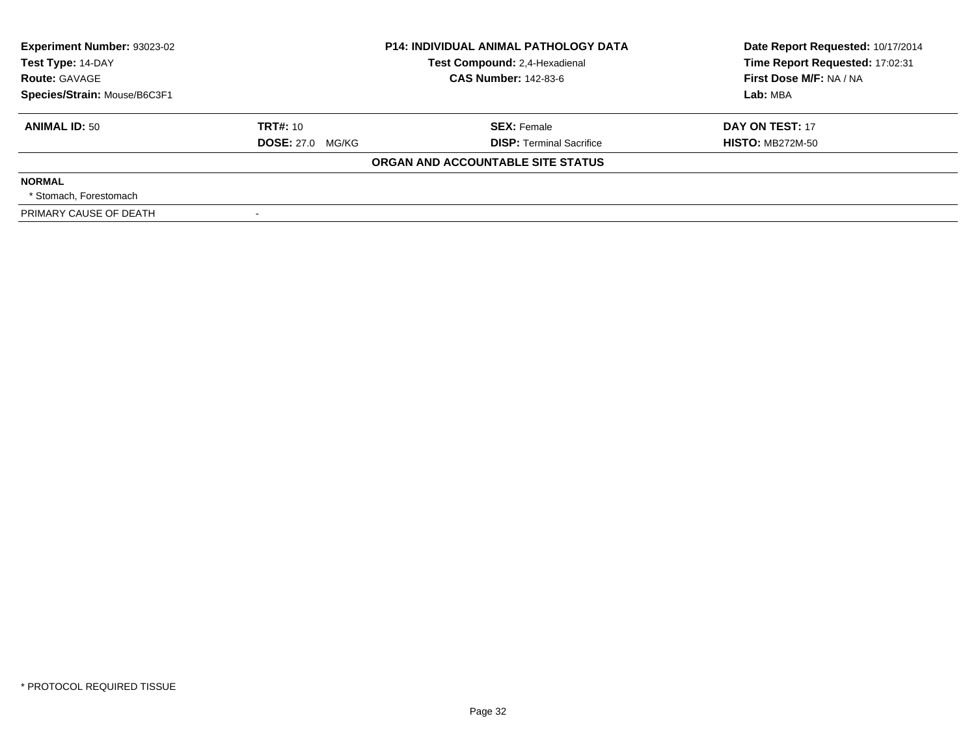| Experiment Number: 93023-02<br>Test Type: 14-DAY | <b>P14: INDIVIDUAL ANIMAL PATHOLOGY DATA</b><br>Test Compound: 2,4-Hexadienal |                                   | Date Report Requested: 10/17/2014<br>Time Report Requested: 17:02:31 |  |
|--------------------------------------------------|-------------------------------------------------------------------------------|-----------------------------------|----------------------------------------------------------------------|--|
| <b>Route: GAVAGE</b>                             |                                                                               | <b>CAS Number: 142-83-6</b>       | First Dose M/F: NA / NA                                              |  |
| Species/Strain: Mouse/B6C3F1                     |                                                                               |                                   | Lab: MBA                                                             |  |
| <b>ANIMAL ID: 50</b>                             | TRT#: 10                                                                      | <b>SEX: Female</b>                | DAY ON TEST: 17                                                      |  |
|                                                  | <b>DOSE: 27.0 MG/KG</b>                                                       | <b>DISP: Terminal Sacrifice</b>   | <b>HISTO: MB272M-50</b>                                              |  |
|                                                  |                                                                               | ORGAN AND ACCOUNTABLE SITE STATUS |                                                                      |  |
| <b>NORMAL</b>                                    |                                                                               |                                   |                                                                      |  |
| * Stomach. Forestomach                           |                                                                               |                                   |                                                                      |  |
| PRIMARY CAUSE OF DEATH                           |                                                                               |                                   |                                                                      |  |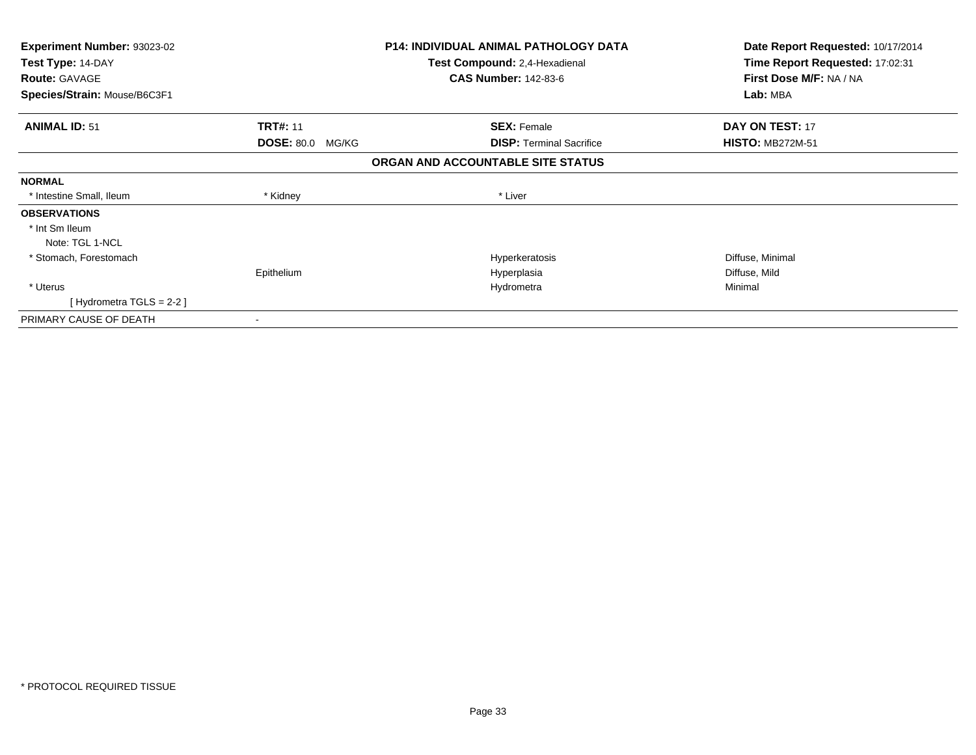| <b>Experiment Number: 93023-02</b><br>Test Type: 14-DAY<br><b>Route: GAVAGE</b> |                            | <b>P14: INDIVIDUAL ANIMAL PATHOLOGY DATA</b><br>Test Compound: 2,4-Hexadienal<br><b>CAS Number: 142-83-6</b> | Date Report Requested: 10/17/2014<br>Time Report Requested: 17:02:31<br>First Dose M/F: NA / NA |
|---------------------------------------------------------------------------------|----------------------------|--------------------------------------------------------------------------------------------------------------|-------------------------------------------------------------------------------------------------|
| Species/Strain: Mouse/B6C3F1                                                    |                            |                                                                                                              | Lab: MBA                                                                                        |
| <b>ANIMAL ID: 51</b>                                                            | <b>TRT#: 11</b>            | <b>SEX: Female</b>                                                                                           | DAY ON TEST: 17                                                                                 |
|                                                                                 | <b>DOSE: 80.0</b><br>MG/KG | <b>DISP:</b> Terminal Sacrifice                                                                              | <b>HISTO: MB272M-51</b>                                                                         |
|                                                                                 |                            | ORGAN AND ACCOUNTABLE SITE STATUS                                                                            |                                                                                                 |
| <b>NORMAL</b>                                                                   |                            |                                                                                                              |                                                                                                 |
| * Intestine Small, Ileum                                                        | * Kidney                   | * Liver                                                                                                      |                                                                                                 |
| <b>OBSERVATIONS</b>                                                             |                            |                                                                                                              |                                                                                                 |
| * Int Sm Ileum                                                                  |                            |                                                                                                              |                                                                                                 |
| Note: TGL 1-NCL                                                                 |                            |                                                                                                              |                                                                                                 |
| * Stomach, Forestomach                                                          |                            | Hyperkeratosis                                                                                               | Diffuse, Minimal                                                                                |
|                                                                                 | Epithelium                 | Hyperplasia                                                                                                  | Diffuse, Mild                                                                                   |
| * Uterus                                                                        |                            | Hydrometra                                                                                                   | Minimal                                                                                         |
| [Hydrometra TGLS = $2-2$ ]                                                      |                            |                                                                                                              |                                                                                                 |
| PRIMARY CAUSE OF DEATH                                                          |                            |                                                                                                              |                                                                                                 |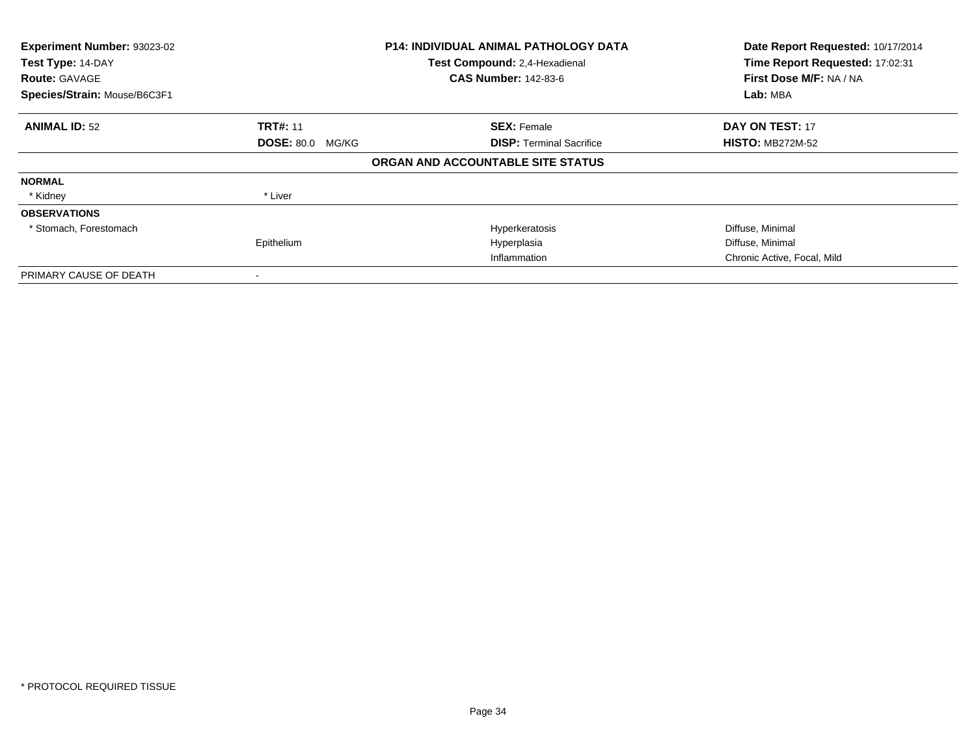| Experiment Number: 93023-02<br>Test Type: 14-DAY<br><b>Route: GAVAGE</b><br>Species/Strain: Mouse/B6C3F1 |                         | <b>P14: INDIVIDUAL ANIMAL PATHOLOGY DATA</b><br>Test Compound: 2,4-Hexadienal<br><b>CAS Number: 142-83-6</b> | Date Report Requested: 10/17/2014<br>Time Report Requested: 17:02:31<br>First Dose M/F: NA / NA<br>Lab: MBA |
|----------------------------------------------------------------------------------------------------------|-------------------------|--------------------------------------------------------------------------------------------------------------|-------------------------------------------------------------------------------------------------------------|
| <b>ANIMAL ID: 52</b>                                                                                     | <b>TRT#: 11</b>         |                                                                                                              | DAY ON TEST: 17                                                                                             |
|                                                                                                          | <b>DOSE: 80.0 MG/KG</b> | <b>SEX: Female</b><br><b>DISP:</b> Terminal Sacrifice                                                        | <b>HISTO: MB272M-52</b>                                                                                     |
|                                                                                                          |                         | ORGAN AND ACCOUNTABLE SITE STATUS                                                                            |                                                                                                             |
| <b>NORMAL</b>                                                                                            |                         |                                                                                                              |                                                                                                             |
| * Kidney                                                                                                 | * Liver                 |                                                                                                              |                                                                                                             |
| <b>OBSERVATIONS</b>                                                                                      |                         |                                                                                                              |                                                                                                             |
| * Stomach, Forestomach                                                                                   |                         | Hyperkeratosis                                                                                               | Diffuse, Minimal                                                                                            |
|                                                                                                          | Epithelium              | Hyperplasia                                                                                                  | Diffuse, Minimal                                                                                            |
|                                                                                                          |                         | Inflammation                                                                                                 | Chronic Active, Focal, Mild                                                                                 |
| PRIMARY CAUSE OF DEATH                                                                                   |                         |                                                                                                              |                                                                                                             |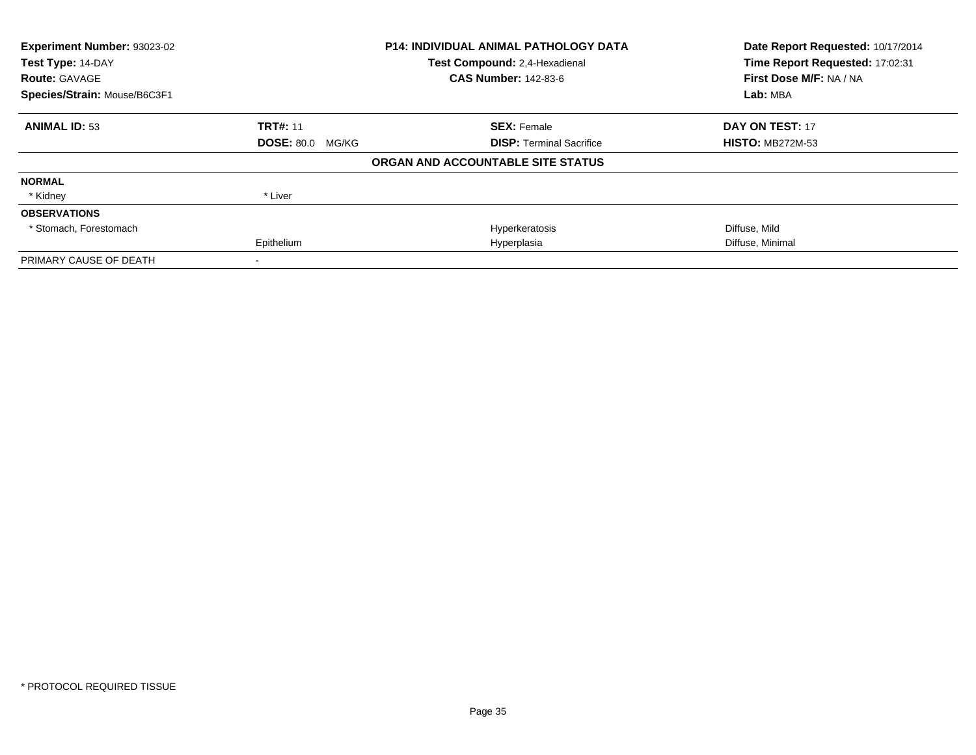| Experiment Number: 93023-02  |                         | <b>P14: INDIVIDUAL ANIMAL PATHOLOGY DATA</b> | Date Report Requested: 10/17/2014 |
|------------------------------|-------------------------|----------------------------------------------|-----------------------------------|
| Test Type: 14-DAY            |                         | Test Compound: 2,4-Hexadienal                | Time Report Requested: 17:02:31   |
| <b>Route: GAVAGE</b>         |                         | <b>CAS Number: 142-83-6</b>                  | First Dose M/F: NA / NA           |
| Species/Strain: Mouse/B6C3F1 |                         |                                              | Lab: MBA                          |
| <b>ANIMAL ID: 53</b>         | <b>TRT#: 11</b>         | <b>SEX: Female</b>                           | DAY ON TEST: 17                   |
|                              | <b>DOSE: 80.0 MG/KG</b> | <b>DISP: Terminal Sacrifice</b>              | <b>HISTO: MB272M-53</b>           |
|                              |                         | ORGAN AND ACCOUNTABLE SITE STATUS            |                                   |
| <b>NORMAL</b>                |                         |                                              |                                   |
| * Kidney                     | * Liver                 |                                              |                                   |
| <b>OBSERVATIONS</b>          |                         |                                              |                                   |
| * Stomach, Forestomach       |                         | Hyperkeratosis                               | Diffuse, Mild                     |
|                              | Epithelium              | Hyperplasia                                  | Diffuse, Minimal                  |
| PRIMARY CAUSE OF DEATH       |                         |                                              |                                   |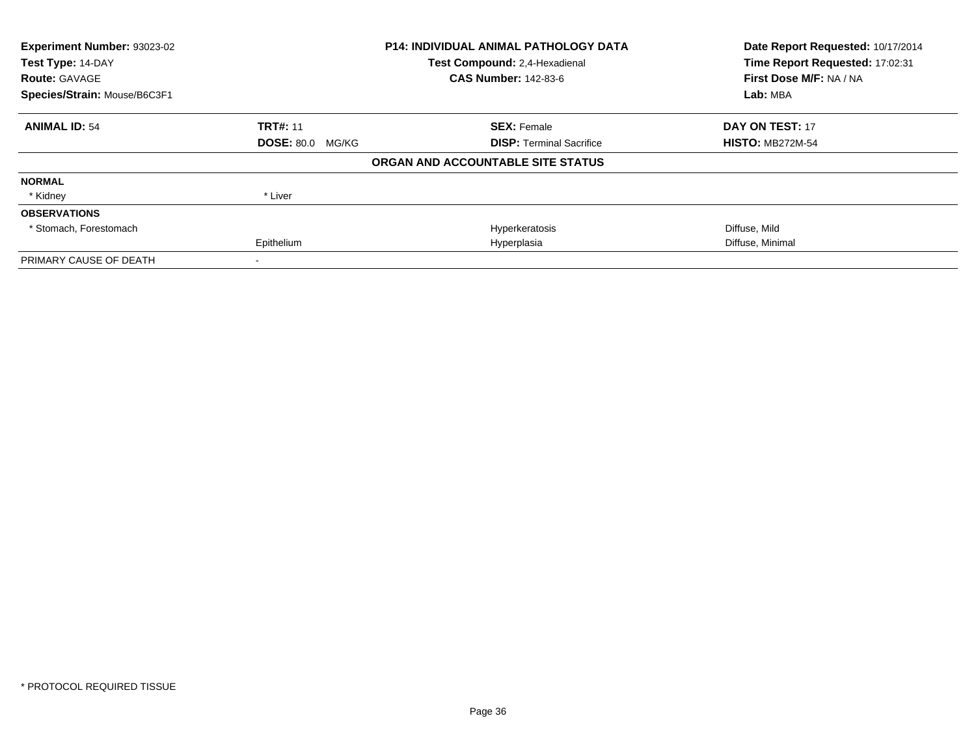| Experiment Number: 93023-02  |                         | <b>P14: INDIVIDUAL ANIMAL PATHOLOGY DATA</b> | Date Report Requested: 10/17/2014 |
|------------------------------|-------------------------|----------------------------------------------|-----------------------------------|
| Test Type: 14-DAY            |                         | Test Compound: 2,4-Hexadienal                | Time Report Requested: 17:02:31   |
| <b>Route: GAVAGE</b>         |                         | <b>CAS Number: 142-83-6</b>                  | First Dose M/F: NA / NA           |
| Species/Strain: Mouse/B6C3F1 |                         |                                              | Lab: MBA                          |
| <b>ANIMAL ID: 54</b>         | <b>TRT#: 11</b>         | <b>SEX: Female</b>                           | DAY ON TEST: 17                   |
|                              | <b>DOSE: 80.0 MG/KG</b> | <b>DISP: Terminal Sacrifice</b>              | <b>HISTO: MB272M-54</b>           |
|                              |                         | ORGAN AND ACCOUNTABLE SITE STATUS            |                                   |
| <b>NORMAL</b>                |                         |                                              |                                   |
| * Kidney                     | * Liver                 |                                              |                                   |
| <b>OBSERVATIONS</b>          |                         |                                              |                                   |
| * Stomach, Forestomach       |                         | Hyperkeratosis                               | Diffuse, Mild                     |
|                              | Epithelium              | Hyperplasia                                  | Diffuse, Minimal                  |
| PRIMARY CAUSE OF DEATH       |                         |                                              |                                   |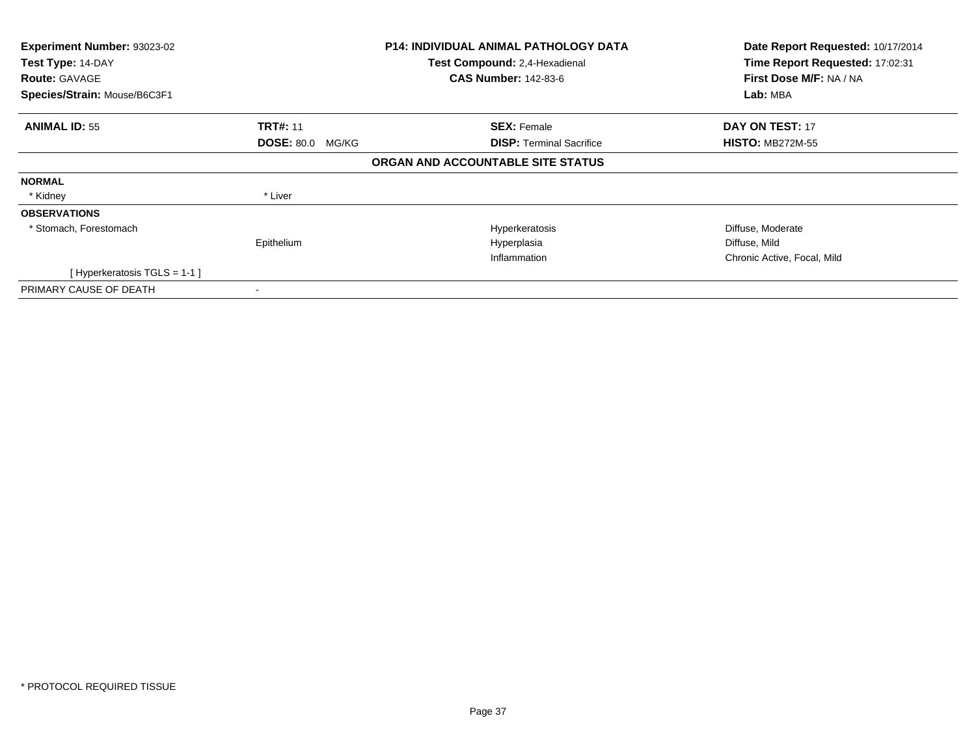| Experiment Number: 93023-02<br>Test Type: 14-DAY |                         | <b>P14: INDIVIDUAL ANIMAL PATHOLOGY DATA</b><br>Test Compound: 2,4-Hexadienal | Date Report Requested: 10/17/2014<br>Time Report Requested: 17:02:31 |
|--------------------------------------------------|-------------------------|-------------------------------------------------------------------------------|----------------------------------------------------------------------|
| <b>Route: GAVAGE</b>                             |                         | <b>CAS Number: 142-83-6</b>                                                   | First Dose M/F: NA / NA                                              |
| Species/Strain: Mouse/B6C3F1                     |                         |                                                                               | Lab: MBA                                                             |
| <b>ANIMAL ID: 55</b>                             | <b>TRT#: 11</b>         | <b>SEX: Female</b>                                                            | DAY ON TEST: 17                                                      |
|                                                  | <b>DOSE: 80.0 MG/KG</b> | <b>DISP:</b> Terminal Sacrifice                                               | <b>HISTO: MB272M-55</b>                                              |
|                                                  |                         | ORGAN AND ACCOUNTABLE SITE STATUS                                             |                                                                      |
| <b>NORMAL</b>                                    |                         |                                                                               |                                                                      |
| * Kidney                                         | * Liver                 |                                                                               |                                                                      |
| <b>OBSERVATIONS</b>                              |                         |                                                                               |                                                                      |
| * Stomach, Forestomach                           |                         | Hyperkeratosis                                                                | Diffuse, Moderate                                                    |
|                                                  | Epithelium              | Hyperplasia                                                                   | Diffuse, Mild                                                        |
|                                                  |                         | Inflammation                                                                  | Chronic Active, Focal, Mild                                          |
| [Hyperkeratosis $TGLS = 1-1$ ]                   |                         |                                                                               |                                                                      |
| PRIMARY CAUSE OF DEATH                           |                         |                                                                               |                                                                      |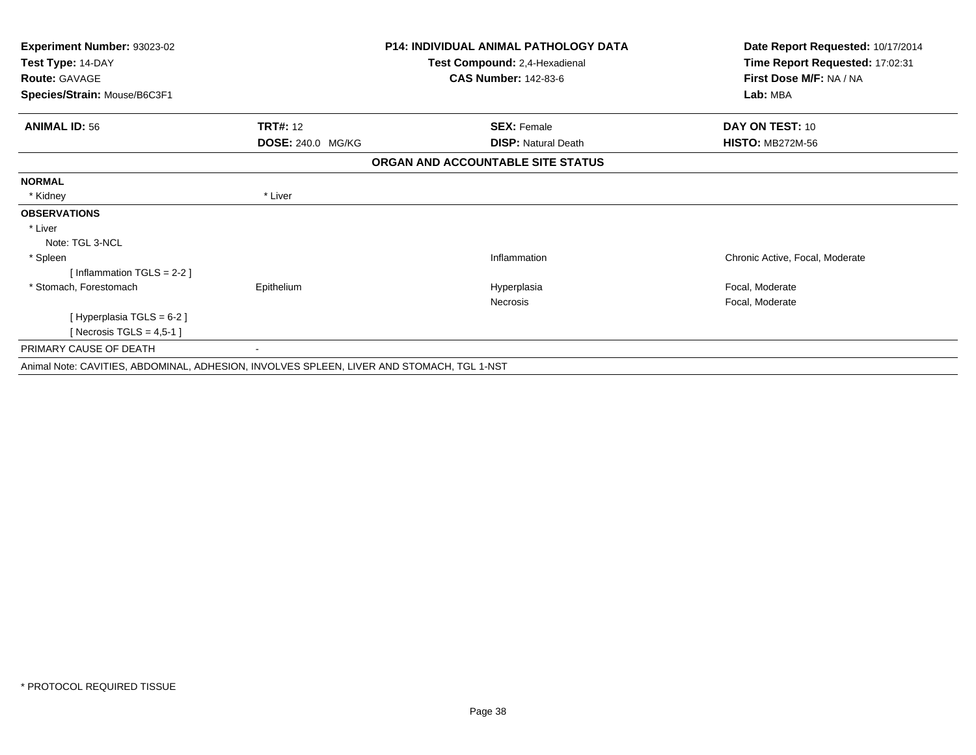| <b>Experiment Number: 93023-02</b>                                                        |                   | <b>P14: INDIVIDUAL ANIMAL PATHOLOGY DATA</b> | Date Report Requested: 10/17/2014 |
|-------------------------------------------------------------------------------------------|-------------------|----------------------------------------------|-----------------------------------|
| Test Type: 14-DAY                                                                         |                   | Test Compound: 2,4-Hexadienal                | Time Report Requested: 17:02:31   |
| <b>Route: GAVAGE</b>                                                                      |                   | <b>CAS Number: 142-83-6</b>                  | First Dose M/F: NA / NA           |
| Species/Strain: Mouse/B6C3F1                                                              |                   |                                              | Lab: MBA                          |
| <b>ANIMAL ID: 56</b>                                                                      | <b>TRT#: 12</b>   | <b>SEX: Female</b>                           | DAY ON TEST: 10                   |
|                                                                                           | DOSE: 240.0 MG/KG | <b>DISP: Natural Death</b>                   | <b>HISTO: MB272M-56</b>           |
|                                                                                           |                   | ORGAN AND ACCOUNTABLE SITE STATUS            |                                   |
| <b>NORMAL</b>                                                                             |                   |                                              |                                   |
| * Kidney                                                                                  | * Liver           |                                              |                                   |
| <b>OBSERVATIONS</b>                                                                       |                   |                                              |                                   |
| * Liver                                                                                   |                   |                                              |                                   |
| Note: TGL 3-NCL                                                                           |                   |                                              |                                   |
| * Spleen                                                                                  |                   | Inflammation                                 | Chronic Active, Focal, Moderate   |
| [Inflammation TGLS = $2-2$ ]                                                              |                   |                                              |                                   |
| * Stomach, Forestomach                                                                    | Epithelium        | Hyperplasia                                  | Focal, Moderate                   |
|                                                                                           |                   | Necrosis                                     | Focal, Moderate                   |
| [ Hyperplasia TGLS = 6-2 ]                                                                |                   |                                              |                                   |
| [ Necrosis TGLS = $4,5-1$ ]                                                               |                   |                                              |                                   |
| PRIMARY CAUSE OF DEATH                                                                    |                   |                                              |                                   |
| Asimal Nata, OANITIER, ADDOMINAL, ADUERION, INVOLVER RDLEEN, LIVED AND REQUARGLETOL 4 NRT |                   |                                              |                                   |

Animal Note: CAVITIES, ABDOMINAL, ADHESION, INVOLVES SPLEEN, LIVER AND STOMACH, TGL 1-NST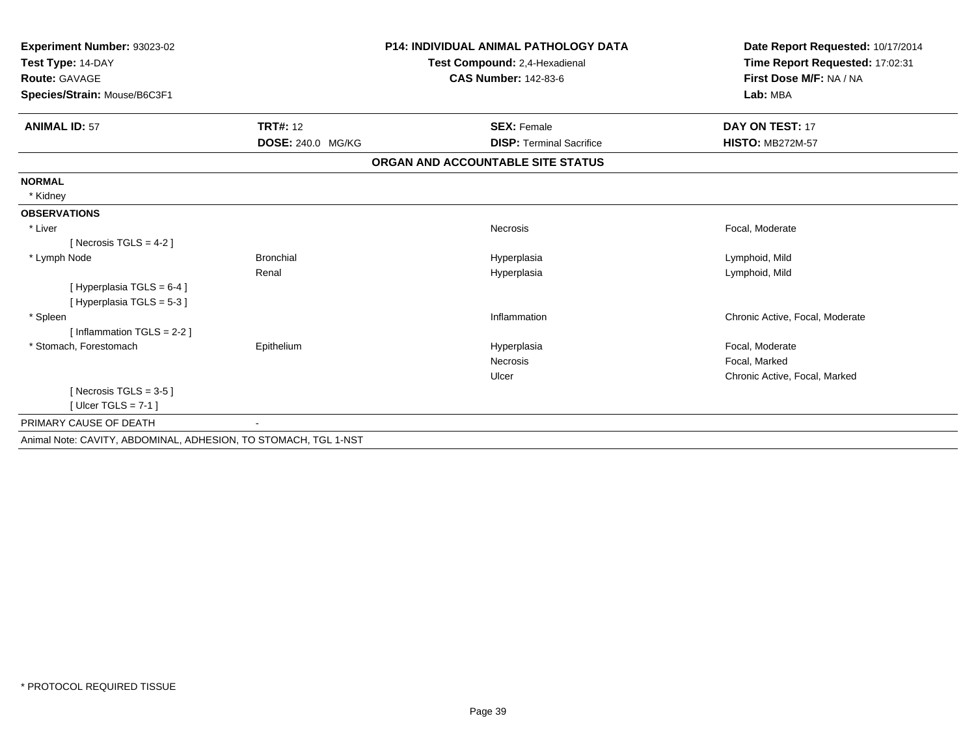| <b>Experiment Number: 93023-02</b>                              |                   | <b>P14: INDIVIDUAL ANIMAL PATHOLOGY DATA</b> | Date Report Requested: 10/17/2014 |
|-----------------------------------------------------------------|-------------------|----------------------------------------------|-----------------------------------|
| Test Type: 14-DAY                                               |                   | Test Compound: 2,4-Hexadienal                | Time Report Requested: 17:02:31   |
| Route: GAVAGE                                                   |                   | <b>CAS Number: 142-83-6</b>                  | First Dose M/F: NA / NA           |
| Species/Strain: Mouse/B6C3F1                                    |                   |                                              | Lab: MBA                          |
| <b>ANIMAL ID: 57</b>                                            | <b>TRT#: 12</b>   | <b>SEX: Female</b>                           | DAY ON TEST: 17                   |
|                                                                 | DOSE: 240.0 MG/KG | <b>DISP: Terminal Sacrifice</b>              | <b>HISTO: MB272M-57</b>           |
|                                                                 |                   | ORGAN AND ACCOUNTABLE SITE STATUS            |                                   |
| <b>NORMAL</b>                                                   |                   |                                              |                                   |
| * Kidney                                                        |                   |                                              |                                   |
| <b>OBSERVATIONS</b>                                             |                   |                                              |                                   |
| * Liver                                                         |                   | <b>Necrosis</b>                              | Focal, Moderate                   |
| [ Necrosis TGLS = $4-2$ ]                                       |                   |                                              |                                   |
| * Lymph Node                                                    | <b>Bronchial</b>  | Hyperplasia                                  | Lymphoid, Mild                    |
|                                                                 | Renal             | Hyperplasia                                  | Lymphoid, Mild                    |
| [Hyperplasia TGLS = 6-4]                                        |                   |                                              |                                   |
| [Hyperplasia TGLS = 5-3]                                        |                   |                                              |                                   |
| * Spleen                                                        |                   | Inflammation                                 | Chronic Active, Focal, Moderate   |
| [Inflammation TGLS = $2-2$ ]                                    |                   |                                              |                                   |
| * Stomach, Forestomach                                          | Epithelium        | Hyperplasia                                  | Focal, Moderate                   |
|                                                                 |                   | <b>Necrosis</b>                              | Focal, Marked                     |
|                                                                 |                   | Ulcer                                        | Chronic Active, Focal, Marked     |
| [Necrosis TGLS = $3-5$ ]                                        |                   |                                              |                                   |
| [ Ulcer TGLS = $7-1$ ]                                          |                   |                                              |                                   |
| PRIMARY CAUSE OF DEATH                                          |                   |                                              |                                   |
| Animal Note: CAVITY, ABDOMINAL, ADHESION, TO STOMACH, TGL 1-NST |                   |                                              |                                   |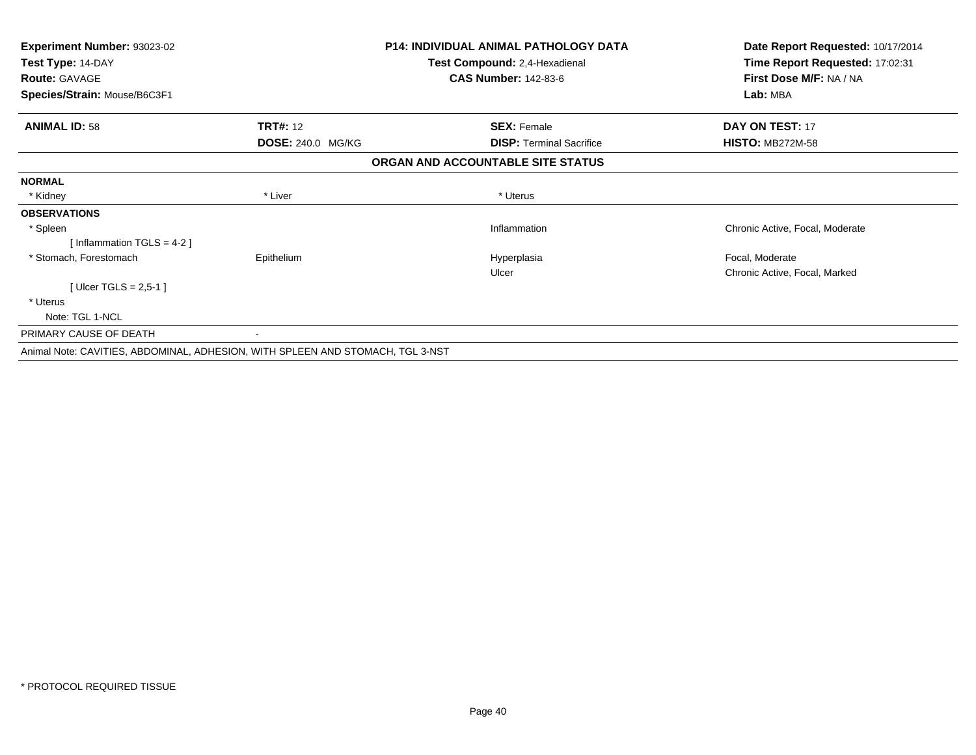| Experiment Number: 93023-02                                                    |                   | <b>P14: INDIVIDUAL ANIMAL PATHOLOGY DATA</b> | Date Report Requested: 10/17/2014 |
|--------------------------------------------------------------------------------|-------------------|----------------------------------------------|-----------------------------------|
| Test Type: 14-DAY                                                              |                   | Test Compound: 2,4-Hexadienal                | Time Report Requested: 17:02:31   |
| <b>Route: GAVAGE</b>                                                           |                   | <b>CAS Number: 142-83-6</b>                  | First Dose M/F: NA / NA           |
| Species/Strain: Mouse/B6C3F1                                                   |                   |                                              | Lab: MBA                          |
| <b>ANIMAL ID: 58</b>                                                           | <b>TRT#: 12</b>   | <b>SEX: Female</b>                           | <b>DAY ON TEST: 17</b>            |
|                                                                                | DOSE: 240.0 MG/KG | <b>DISP:</b> Terminal Sacrifice              | <b>HISTO: MB272M-58</b>           |
|                                                                                |                   | ORGAN AND ACCOUNTABLE SITE STATUS            |                                   |
| <b>NORMAL</b>                                                                  |                   |                                              |                                   |
| * Kidney                                                                       | * Liver           | * Uterus                                     |                                   |
| <b>OBSERVATIONS</b>                                                            |                   |                                              |                                   |
| * Spleen                                                                       |                   | Inflammation                                 | Chronic Active, Focal, Moderate   |
| Inflammation TGLS = 4-2 ]                                                      |                   |                                              |                                   |
| * Stomach, Forestomach                                                         | Epithelium        | Hyperplasia                                  | Focal, Moderate                   |
|                                                                                |                   | Ulcer                                        | Chronic Active, Focal, Marked     |
| [Ulcer TGLS = 2,5-1]                                                           |                   |                                              |                                   |
| * Uterus                                                                       |                   |                                              |                                   |
| Note: TGL 1-NCL                                                                |                   |                                              |                                   |
| PRIMARY CAUSE OF DEATH                                                         |                   |                                              |                                   |
| Animal Note: CAVITIES, ABDOMINAL, ADHESION, WITH SPLEEN AND STOMACH, TGL 3-NST |                   |                                              |                                   |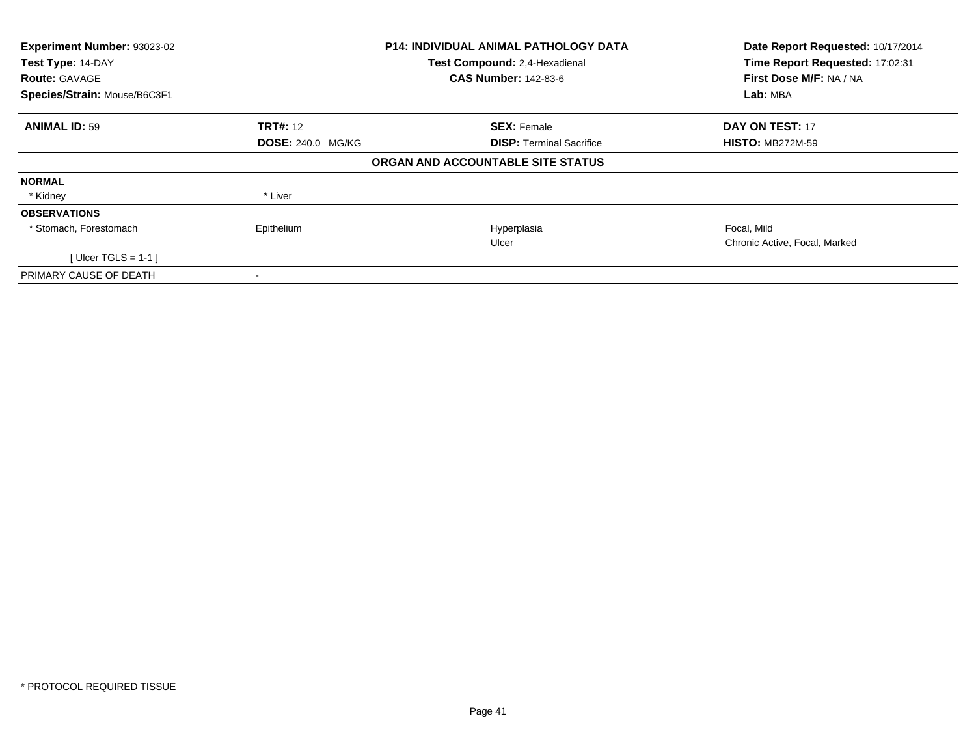| Experiment Number: 93023-02  |                          | <b>P14: INDIVIDUAL ANIMAL PATHOLOGY DATA</b> | Date Report Requested: 10/17/2014 |
|------------------------------|--------------------------|----------------------------------------------|-----------------------------------|
| Test Type: 14-DAY            |                          | Test Compound: 2,4-Hexadienal                | Time Report Requested: 17:02:31   |
| <b>Route: GAVAGE</b>         |                          | <b>CAS Number: 142-83-6</b>                  | First Dose M/F: NA / NA           |
| Species/Strain: Mouse/B6C3F1 |                          |                                              | Lab: MBA                          |
| <b>ANIMAL ID: 59</b>         | <b>TRT#: 12</b>          | <b>SEX: Female</b>                           | <b>DAY ON TEST: 17</b>            |
|                              | <b>DOSE: 240.0 MG/KG</b> | <b>DISP:</b> Terminal Sacrifice              | <b>HISTO: MB272M-59</b>           |
|                              |                          | ORGAN AND ACCOUNTABLE SITE STATUS            |                                   |
| <b>NORMAL</b>                |                          |                                              |                                   |
| * Kidney                     | * Liver                  |                                              |                                   |
| <b>OBSERVATIONS</b>          |                          |                                              |                                   |
| * Stomach, Forestomach       | Epithelium               | Hyperplasia                                  | Focal, Mild                       |
|                              |                          | Ulcer                                        | Chronic Active, Focal, Marked     |
| [Ulcer TGLS = 1-1 ]          |                          |                                              |                                   |
| PRIMARY CAUSE OF DEATH       |                          |                                              |                                   |